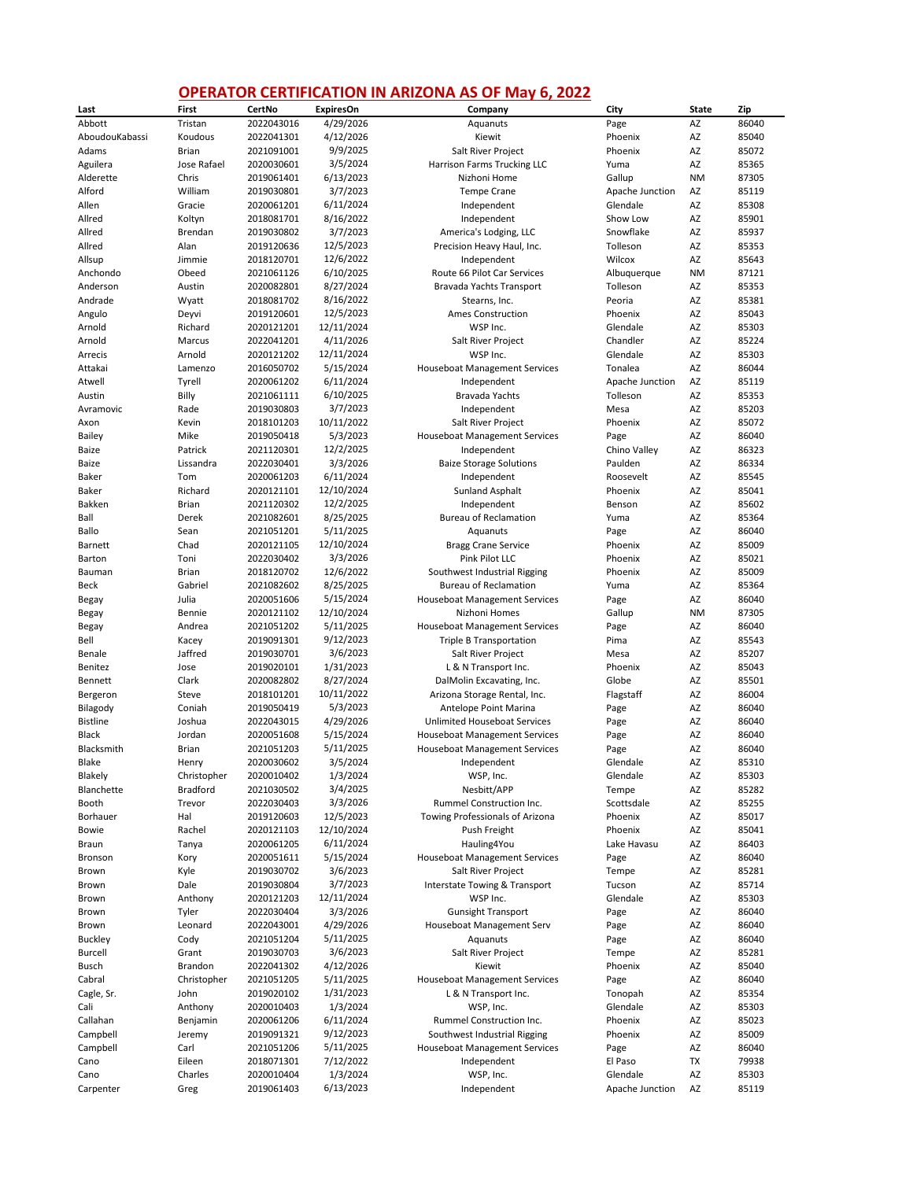## **OPERATOR CERTIFICATION IN ARIZONA AS OF May 6, 2022**

| Last            | First          | CertNo     | <b>ExpiresOn</b> | Company                              | City            | <b>State</b> | Zip   |
|-----------------|----------------|------------|------------------|--------------------------------------|-----------------|--------------|-------|
| Abbott          | Tristan        | 2022043016 | 4/29/2026        | Aquanuts                             | Page            | AZ           | 86040 |
| AboudouKabassi  | Koudous        | 2022041301 | 4/12/2026        | Kiewit                               | Phoenix         | AZ           | 85040 |
| Adams           | Brian          | 2021091001 | 9/9/2025         | Salt River Project                   | Phoenix         | AZ           | 85072 |
| Aguilera        | Jose Rafael    | 2020030601 | 3/5/2024         | Harrison Farms Trucking LLC          | Yuma            | AZ           | 85365 |
| Alderette       | Chris          | 2019061401 | 6/13/2023        | Nizhoni Home                         | Gallup          | <b>NM</b>    | 87305 |
| Alford          | William        | 2019030801 | 3/7/2023         | <b>Tempe Crane</b>                   | Apache Junction | AZ           | 85119 |
| Allen           | Gracie         | 2020061201 | 6/11/2024        | Independent                          | Glendale        | AZ           | 85308 |
| Allred          | Koltyn         | 2018081701 | 8/16/2022        | Independent                          | Show Low        | AZ           | 85901 |
| Allred          | Brendan        | 2019030802 | 3/7/2023         | America's Lodging, LLC               | Snowflake       | AZ           | 85937 |
| Allred          | Alan           | 2019120636 | 12/5/2023        | Precision Heavy Haul, Inc.           | Tolleson        | AZ           | 85353 |
| Allsup          | Jimmie         | 2018120701 | 12/6/2022        | Independent                          | Wilcox          | AZ           | 85643 |
| Anchondo        | Obeed          | 2021061126 | 6/10/2025        | Route 66 Pilot Car Services          | Albuquerque     | <b>NM</b>    | 87121 |
| Anderson        | Austin         | 2020082801 | 8/27/2024        | Bravada Yachts Transport             | Tolleson        | AZ           | 85353 |
| Andrade         | Wyatt          | 2018081702 | 8/16/2022        | Stearns, Inc.                        | Peoria          | AZ           | 85381 |
| Angulo          | Deyvi          | 2019120601 | 12/5/2023        | <b>Ames Construction</b>             | Phoenix         | AZ           | 85043 |
| Arnold          | Richard        | 2020121201 | 12/11/2024       | WSP Inc.                             | Glendale        | AZ           | 85303 |
| Arnold          | Marcus         | 2022041201 | 4/11/2026        | Salt River Project                   | Chandler        | AZ           | 85224 |
| Arrecis         | Arnold         | 2020121202 | 12/11/2024       | WSP Inc.                             | Glendale        | AZ           | 85303 |
| Attakai         | Lamenzo        | 2016050702 | 5/15/2024        | <b>Houseboat Management Services</b> | Tonalea         | AZ           | 86044 |
| Atwell          | Tyrell         | 2020061202 | 6/11/2024        | Independent                          | Apache Junction | AZ           | 85119 |
| Austin          | Billy          | 2021061111 | 6/10/2025        | Bravada Yachts                       | Tolleson        | AZ           | 85353 |
| Avramovic       | Rade           | 2019030803 | 3/7/2023         | Independent                          | Mesa            | AZ           | 85203 |
| Axon            | Kevin          | 2018101203 | 10/11/2022       | Salt River Project                   | Phoenix         | AZ           | 85072 |
| Bailey          | Mike           | 2019050418 | 5/3/2023         | <b>Houseboat Management Services</b> | Page            | AZ           | 86040 |
| Baize           | Patrick        | 2021120301 | 12/2/2025        | Independent                          | Chino Valley    | AZ           | 86323 |
| Baize           | Lissandra      | 2022030401 | 3/3/2026         | <b>Baize Storage Solutions</b>       | Paulden         | AZ           | 86334 |
| Baker           | Tom            | 2020061203 | 6/11/2024        | Independent                          | Roosevelt       | AZ           | 85545 |
| Baker           | Richard        | 2020121101 | 12/10/2024       | <b>Sunland Asphalt</b>               | Phoenix         | AZ           | 85041 |
| Bakken          | <b>Brian</b>   | 2021120302 | 12/2/2025        | Independent                          | Benson          | AZ           | 85602 |
| Ball            | Derek          | 2021082601 | 8/25/2025        | <b>Bureau of Reclamation</b>         | Yuma            | AZ           | 85364 |
| Ballo           | Sean           | 2021051201 | 5/11/2025        | Aquanuts                             | Page            | AZ           | 86040 |
| Barnett         | Chad           | 2020121105 | 12/10/2024       | <b>Bragg Crane Service</b>           | Phoenix         | AZ           | 85009 |
| Barton          | Toni           | 2022030402 | 3/3/2026         | Pink Pilot LLC                       | Phoenix         | AZ           | 85021 |
| Bauman          | <b>Brian</b>   | 2018120702 | 12/6/2022        | Southwest Industrial Rigging         | Phoenix         | AZ           | 85009 |
| Beck            | Gabriel        | 2021082602 | 8/25/2025        | <b>Bureau of Reclamation</b>         | Yuma            | AZ           | 85364 |
| Begay           | Julia          | 2020051606 | 5/15/2024        | <b>Houseboat Management Services</b> | Page            | AZ           | 86040 |
| Begay           | Bennie         | 2020121102 | 12/10/2024       | Nizhoni Homes                        | Gallup          | <b>NM</b>    | 87305 |
| Begay           | Andrea         | 2021051202 | 5/11/2025        | <b>Houseboat Management Services</b> | Page            | AZ           | 86040 |
| Bell            | Kacey          | 2019091301 | 9/12/2023        | <b>Triple B Transportation</b>       | Pima            | AZ           | 85543 |
| Benale          | Jaffred        | 2019030701 | 3/6/2023         | Salt River Project                   | Mesa            | AZ           | 85207 |
| Benitez         | Jose           | 2019020101 | 1/31/2023        | L & N Transport Inc.                 | Phoenix         | AZ           | 85043 |
| Bennett         | Clark          | 2020082802 | 8/27/2024        | DalMolin Excavating, Inc.            | Globe           | AZ           | 85501 |
| Bergeron        | Steve          | 2018101201 | 10/11/2022       | Arizona Storage Rental, Inc.         | Flagstaff       | AZ           | 86004 |
| Bilagody        | Coniah         | 2019050419 | 5/3/2023         | Antelope Point Marina                | Page            | AZ           | 86040 |
| <b>Bistline</b> | Joshua         | 2022043015 | 4/29/2026        | <b>Unlimited Houseboat Services</b>  | Page            | AZ           | 86040 |
| Black           | Jordan         | 2020051608 | 5/15/2024        | <b>Houseboat Management Services</b> | Page            | AZ           | 86040 |
| Blacksmith      | <b>Brian</b>   | 2021051203 | 5/11/2025        | <b>Houseboat Management Services</b> | Page            | AZ           | 86040 |
| Blake           | Henry          | 2020030602 | 3/5/2024         | Independent                          | Glendale        | AZ           | 85310 |
| Blakely         | Christopher    | 2020010402 | 1/3/2024         | WSP, Inc.                            | Glendale        | AZ           | 85303 |
| Blanchette      | Bradford       | 2021030502 | 3/4/2025         | Nesbitt/APP                          | Tempe           | AZ           | 85282 |
| Booth           | Trevor         | 2022030403 | 3/3/2026         | Rummel Construction Inc.             | Scottsdale      | AZ           | 85255 |
| Borhauer        | Hal            | 2019120603 | 12/5/2023        | Towing Professionals of Arizona      | Phoenix         | AZ           | 85017 |
| Bowie           | Rachel         | 2020121103 | 12/10/2024       | Push Freight                         | Phoenix         | AZ           | 85041 |
| Braun           | Tanya          | 2020061205 | 6/11/2024        | Hauling4You                          | Lake Havasu     | AZ           | 86403 |
| Bronson         | Kory           | 2020051611 | 5/15/2024        | <b>Houseboat Management Services</b> | Page            | AZ           | 86040 |
| Brown           | Kyle           | 2019030702 | 3/6/2023         | Salt River Project                   | Tempe           | AZ           | 85281 |
| Brown           | Dale           | 2019030804 | 3/7/2023         | Interstate Towing & Transport        | Tucson          | AZ           | 85714 |
| Brown           | Anthony        | 2020121203 | 12/11/2024       | WSP Inc.                             | Glendale        | AZ           | 85303 |
| Brown           | Tyler          | 2022030404 | 3/3/2026         | <b>Gunsight Transport</b>            | Page            | AZ           | 86040 |
| Brown           | Leonard        | 2022043001 | 4/29/2026        | Houseboat Management Serv            | Page            | AZ           | 86040 |
| <b>Buckley</b>  | Cody           | 2021051204 | 5/11/2025        | Aquanuts                             | Page            | AZ           | 86040 |
| <b>Burcell</b>  | Grant          | 2019030703 | 3/6/2023         | Salt River Project                   | Tempe           | AZ           | 85281 |
| Busch           | <b>Brandon</b> | 2022041302 | 4/12/2026        | Kiewit                               | Phoenix         | AZ           | 85040 |
| Cabral          | Christopher    | 2021051205 | 5/11/2025        | <b>Houseboat Management Services</b> | Page            | AZ           | 86040 |
| Cagle, Sr.      | John           | 2019020102 | 1/31/2023        | L & N Transport Inc.                 | Tonopah         | AZ           | 85354 |
| Cali            | Anthony        | 2020010403 | 1/3/2024         | WSP, Inc.                            | Glendale        | AZ           | 85303 |
| Callahan        | Benjamin       | 2020061206 | 6/11/2024        | Rummel Construction Inc.             | Phoenix         | AZ           | 85023 |
| Campbell        | Jeremy         | 2019091321 | 9/12/2023        | Southwest Industrial Rigging         | Phoenix         | AZ           | 85009 |
| Campbell        | Carl           | 2021051206 | 5/11/2025        | <b>Houseboat Management Services</b> | Page            | AZ           | 86040 |
| Cano            | Eileen         | 2018071301 | 7/12/2022        | Independent                          | El Paso         | TX           | 79938 |
| Cano            | Charles        | 2020010404 | 1/3/2024         | WSP, Inc.                            | Glendale        | AZ           | 85303 |
| Carpenter       | Greg           | 2019061403 | 6/13/2023        | Independent                          | Apache Junction | AZ           | 85119 |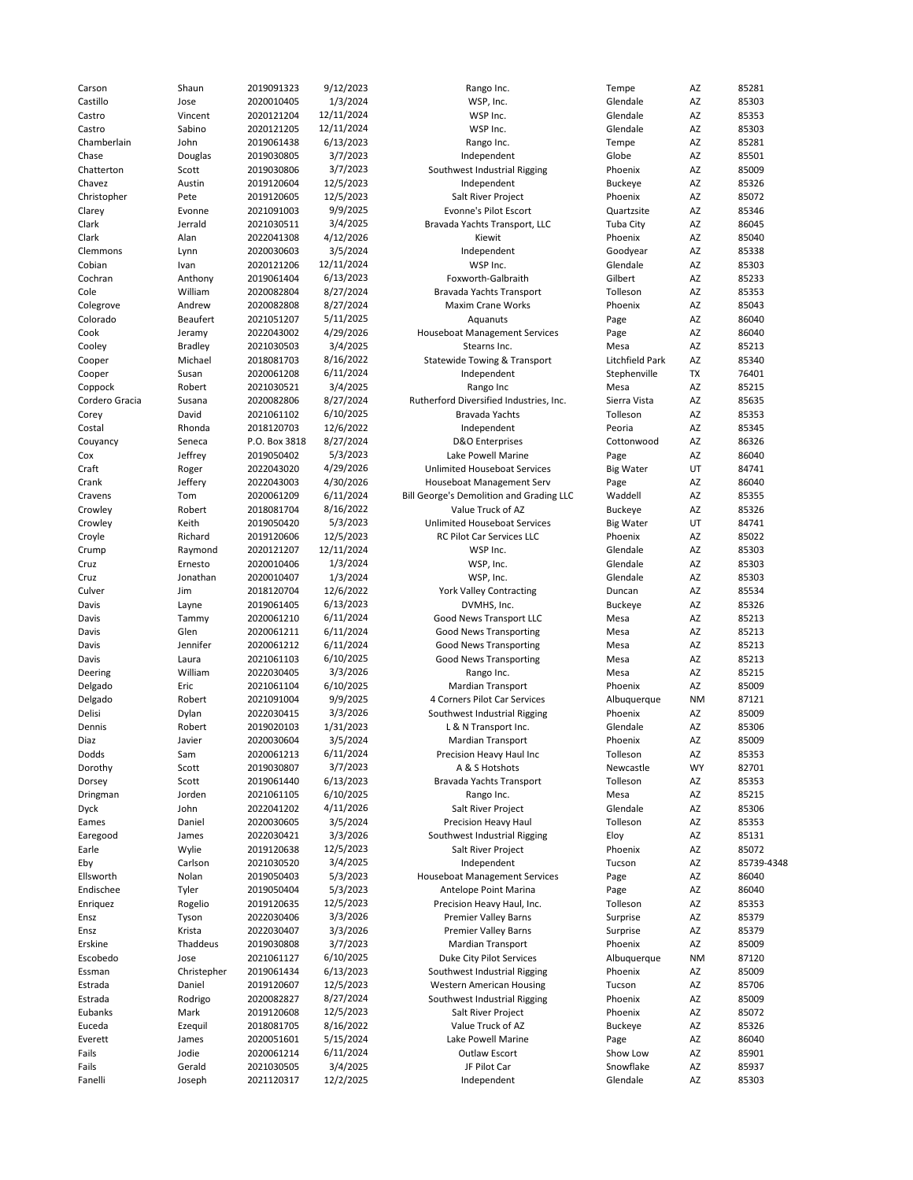| Carson         | Shaun           | 2019091323    | 9/12/2023  | Rango Inc.                               | Tempe            | AZ        | 85281      |
|----------------|-----------------|---------------|------------|------------------------------------------|------------------|-----------|------------|
| Castillo       | Jose            | 2020010405    | 1/3/2024   | WSP, Inc.                                | Glendale         | AZ        | 85303      |
| Castro         | Vincent         | 2020121204    | 12/11/2024 | WSP Inc.                                 | Glendale         | AZ        | 85353      |
| Castro         | Sabino          | 2020121205    | 12/11/2024 | WSP Inc.                                 | Glendale         | AZ        | 85303      |
| Chamberlain    | John            | 2019061438    | 6/13/2023  | Rango Inc.                               | Tempe            | AZ        | 85281      |
| Chase          | Douglas         | 2019030805    | 3/7/2023   | Independent                              | Globe            | AZ        | 85501      |
| Chatterton     | Scott           | 2019030806    | 3/7/2023   | Southwest Industrial Rigging             | Phoenix          | AZ        | 85009      |
| Chavez         | Austin          | 2019120604    | 12/5/2023  | Independent                              | <b>Buckeye</b>   | AZ        | 85326      |
| Christopher    | Pete            | 2019120605    | 12/5/2023  | Salt River Project                       | Phoenix          | AZ        | 85072      |
| Clarey         | Evonne          | 2021091003    | 9/9/2025   | Evonne's Pilot Escort                    | Quartzsite       | AZ        | 85346      |
| Clark          | Jerrald         | 2021030511    | 3/4/2025   | Bravada Yachts Transport, LLC            | Tuba City        | AZ        | 86045      |
| Clark          | Alan            | 2022041308    | 4/12/2026  | Kiewit                                   | Phoenix          | AZ        | 85040      |
| Clemmons       | Lynn            | 2020030603    | 3/5/2024   | Independent                              | Goodyear         | AZ        | 85338      |
| Cobian         | Ivan            | 2020121206    | 12/11/2024 | WSP Inc.                                 | Glendale         | AZ        | 85303      |
| Cochran        | Anthony         | 2019061404    | 6/13/2023  | Foxworth-Galbraith                       | Gilbert          | AZ        | 85233      |
| Cole           | William         | 2020082804    | 8/27/2024  | Bravada Yachts Transport                 | Tolleson         | AZ        | 85353      |
| Colegrove      | Andrew          | 2020082808    | 8/27/2024  | Maxim Crane Works                        | Phoenix          | AZ        | 85043      |
| Colorado       | <b>Beaufert</b> | 2021051207    | 5/11/2025  | Aquanuts                                 | Page             | AZ        | 86040      |
| Cook           | Jeramy          | 2022043002    | 4/29/2026  | <b>Houseboat Management Services</b>     | Page             | AZ        | 86040      |
| Cooley         | <b>Bradley</b>  | 2021030503    | 3/4/2025   | Stearns Inc.                             | Mesa             | AZ        | 85213      |
| Cooper         | Michael         | 2018081703    | 8/16/2022  | Statewide Towing & Transport             | Litchfield Park  | AZ        | 85340      |
| Cooper         | Susan           | 2020061208    | 6/11/2024  | Independent                              | Stephenville     | TX        | 76401      |
| Coppock        | Robert          | 2021030521    | 3/4/2025   | Rango Inc                                | Mesa             | AZ        | 85215      |
| Cordero Gracia | Susana          | 2020082806    | 8/27/2024  | Rutherford Diversified Industries, Inc.  | Sierra Vista     | AZ        | 85635      |
| Corey          | David           | 2021061102    | 6/10/2025  | Bravada Yachts                           | Tolleson         | AZ        | 85353      |
| Costal         | Rhonda          | 2018120703    | 12/6/2022  | Independent                              | Peoria           | AZ        | 85345      |
| Couyancy       | Seneca          | P.O. Box 3818 | 8/27/2024  | D&O Enterprises                          | Cottonwood       | AZ        | 86326      |
| Cox            | Jeffrey         | 2019050402    | 5/3/2023   | Lake Powell Marine                       | Page             | AZ        | 86040      |
| Craft          | Roger           | 2022043020    | 4/29/2026  | Unlimited Houseboat Services             | <b>Big Water</b> | UT        | 84741      |
| Crank          | Jeffery         | 2022043003    | 4/30/2026  | Houseboat Management Serv                | Page             | AZ        | 86040      |
| Cravens        | Tom             | 2020061209    | 6/11/2024  | Bill George's Demolition and Grading LLC | Waddell          | AZ        | 85355      |
| Crowley        | Robert          | 2018081704    | 8/16/2022  | Value Truck of AZ                        | <b>Buckeye</b>   | AZ        | 85326      |
| Crowley        | Keith           | 2019050420    | 5/3/2023   | <b>Unlimited Houseboat Services</b>      | <b>Big Water</b> | UT        | 84741      |
| Croyle         | Richard         | 2019120606    | 12/5/2023  | <b>RC Pilot Car Services LLC</b>         | Phoenix          | AZ        | 85022      |
| Crump          | Raymond         | 2020121207    | 12/11/2024 | WSP Inc.                                 | Glendale         | AZ        | 85303      |
| Cruz           | Ernesto         | 2020010406    | 1/3/2024   | WSP, Inc.                                | Glendale         | AZ        | 85303      |
| Cruz           | Jonathan        | 2020010407    | 1/3/2024   | WSP, Inc.                                | Glendale         | AZ        | 85303      |
| Culver         | Jim             | 2018120704    | 12/6/2022  | <b>York Valley Contracting</b>           | Duncan           | AZ        | 85534      |
| Davis          | Layne           | 2019061405    | 6/13/2023  | DVMHS, Inc.                              | <b>Buckeye</b>   | AZ        | 85326      |
| Davis          | Tammy           | 2020061210    | 6/11/2024  | Good News Transport LLC                  | Mesa             | AZ        | 85213      |
| Davis          | Glen            | 2020061211    | 6/11/2024  | Good News Transporting                   | Mesa             | AZ        | 85213      |
| Davis          | Jennifer        | 2020061212    | 6/11/2024  | Good News Transporting                   | Mesa             | AZ        | 85213      |
| Davis          | Laura           | 2021061103    | 6/10/2025  | Good News Transporting                   | Mesa             | AZ        | 85213      |
| Deering        | William         | 2022030405    | 3/3/2026   | Rango Inc.                               | Mesa             | AZ        | 85215      |
| Delgado        | Eric            | 2021061104    | 6/10/2025  | Mardian Transport                        | Phoenix          | AZ        | 85009      |
| Delgado        | Robert          | 2021091004    | 9/9/2025   | 4 Corners Pilot Car Services             | Albuquerque      | <b>NM</b> | 87121      |
| Delisi         | Dylan           | 2022030415    | 3/3/2026   | Southwest Industrial Rigging             | Phoenix          | AZ        | 85009      |
| Dennis         | Robert          | 2019020103    | 1/31/2023  | L & N Transport Inc.                     | Glendale         | AZ        | 85306      |
| Diaz           | Javier          | 2020030604    | 3/5/2024   | Mardian Transport                        | Phoenix          | AZ        | 85009      |
| Dodds          | Sam             | 2020061213    | 6/11/2024  | Precision Heavy Haul Inc                 | Tolleson         | AZ        | 85353      |
| Dorothy        | Scott           | 2019030807    | 3/7/2023   | A & S Hotshots                           | Newcastle        | WY        | 82701      |
| Dorsey         | Scott           | 2019061440    | 6/13/2023  | Bravada Yachts Transport                 | Tolleson         | AZ        | 85353      |
| Dringman       | Jorden          | 2021061105    | 6/10/2025  | Rango Inc.                               | Mesa             | AZ        | 85215      |
| <b>Dyck</b>    | John            | 2022041202    | 4/11/2026  | Salt River Project                       | Glendale         | AZ        | 85306      |
| Eames          | Daniel          | 2020030605    | 3/5/2024   | Precision Heavy Haul                     | Tolleson         | AZ        | 85353      |
| Earegood       | James           | 2022030421    | 3/3/2026   | Southwest Industrial Rigging             | Eloy             | ΑZ        | 85131      |
| Earle          | Wylie           | 2019120638    | 12/5/2023  | Salt River Project                       | Phoenix          | AZ        | 85072      |
| Eby            | Carlson         | 2021030520    | 3/4/2025   | Independent                              | Tucson           | AZ        | 85739-4348 |
| Ellsworth      | Nolan           | 2019050403    | 5/3/2023   | <b>Houseboat Management Services</b>     | Page             | AZ        | 86040      |
| Endischee      | Tyler           | 2019050404    | 5/3/2023   | Antelope Point Marina                    | Page             | AZ        | 86040      |
| Enriquez       | Rogelio         | 2019120635    | 12/5/2023  | Precision Heavy Haul, Inc.               | Tolleson         | AZ        | 85353      |
| Ensz           | Tyson           | 2022030406    | 3/3/2026   | <b>Premier Valley Barns</b>              | Surprise         | AZ        | 85379      |
| Ensz           | Krista          | 2022030407    | 3/3/2026   | Premier Valley Barns                     | Surprise         | AZ        | 85379      |
| Erskine        | Thaddeus        | 2019030808    | 3/7/2023   | Mardian Transport                        | Phoenix          | AZ        | 85009      |
| Escobedo       | Jose            | 2021061127    | 6/10/2025  | Duke City Pilot Services                 | Albuquerque      | ΝM        | 87120      |
| Essman         | Christepher     | 2019061434    | 6/13/2023  | Southwest Industrial Rigging             | Phoenix          | AZ        | 85009      |
| Estrada        | Daniel          | 2019120607    | 12/5/2023  | <b>Western American Housing</b>          | Tucson           | AZ        | 85706      |
| Estrada        | Rodrigo         | 2020082827    | 8/27/2024  | Southwest Industrial Rigging             | Phoenix          | AZ        | 85009      |
| Eubanks        | Mark            | 2019120608    | 12/5/2023  | Salt River Project                       | Phoenix          | ΑZ        | 85072      |
| Euceda         |                 | 2018081705    | 8/16/2022  | Value Truck of AZ                        | <b>Buckeye</b>   | AZ        | 85326      |
| Everett        | Ezequil         | 2020051601    | 5/15/2024  | Lake Powell Marine                       |                  | AZ        | 86040      |
|                | James<br>Jodie  | 2020061214    |            | Outlaw Escort                            | Page<br>Show Low | AZ        |            |
| Fails          |                 |               | 6/11/2024  |                                          |                  |           | 85901      |
| Fails          | Gerald          | 2021030505    | 3/4/2025   | JF Pilot Car                             | Snowflake        | AZ        | 85937      |
| Fanelli        | Joseph          | 2021120317    | 12/2/2025  | Independent                              | Glendale         | AZ        | 85303      |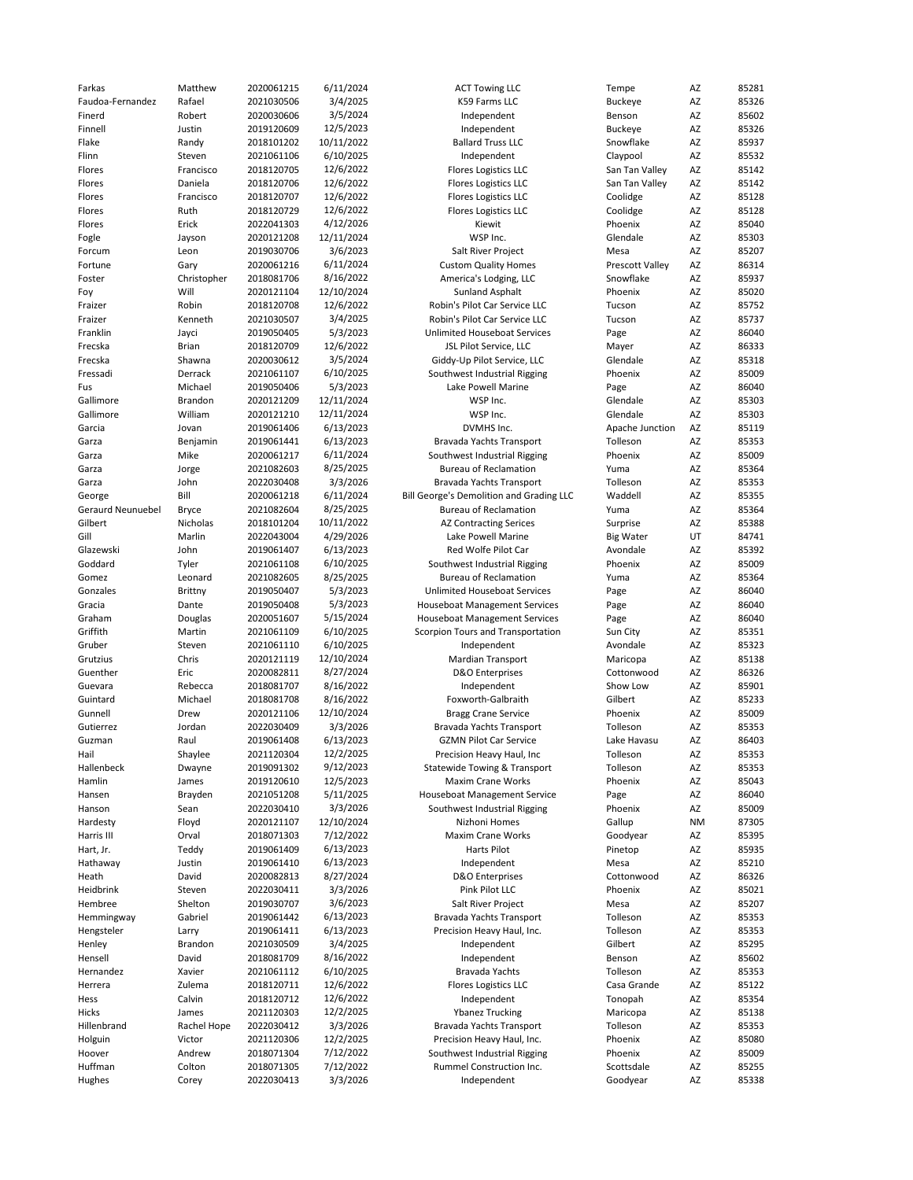| Farkas            | Matthew      | 2020061215 | 6/11/2024  | <b>ACT Towing LLC</b>                    | Tempe            | AZ        | 85281 |
|-------------------|--------------|------------|------------|------------------------------------------|------------------|-----------|-------|
| Faudoa-Fernandez  | Rafael       | 2021030506 | 3/4/2025   | K59 Farms LLC                            | <b>Buckeye</b>   | AZ        | 85326 |
| Finerd            | Robert       | 2020030606 | 3/5/2024   | Independent                              | Benson           | AZ        | 85602 |
|                   |              |            |            |                                          |                  |           |       |
| Finnell           | Justin       | 2019120609 | 12/5/2023  | Independent                              | <b>Buckeye</b>   | AZ        | 85326 |
| Flake             | Randy        | 2018101202 | 10/11/2022 | <b>Ballard Truss LLC</b>                 | Snowflake        | AZ        | 85937 |
| Flinn             | Steven       | 2021061106 | 6/10/2025  | Independent                              | Claypool         | AZ        | 85532 |
| Flores            | Francisco    | 2018120705 | 12/6/2022  | <b>Flores Logistics LLC</b>              | San Tan Valley   | AZ        | 85142 |
| Flores            | Daniela      | 2018120706 | 12/6/2022  | <b>Flores Logistics LLC</b>              | San Tan Valley   | AZ        | 85142 |
|                   |              |            |            |                                          |                  |           |       |
| Flores            | Francisco    | 2018120707 | 12/6/2022  | <b>Flores Logistics LLC</b>              | Coolidge         | AZ        | 85128 |
| Flores            | Ruth         | 2018120729 | 12/6/2022  | <b>Flores Logistics LLC</b>              | Coolidge         | AZ        | 85128 |
| Flores            | Erick        | 2022041303 | 4/12/2026  | Kiewit                                   | Phoenix          | AZ        | 85040 |
| Fogle             | Jayson       | 2020121208 | 12/11/2024 | WSP Inc.                                 | Glendale         | AZ        | 85303 |
|                   |              |            |            |                                          |                  |           |       |
| Forcum            | Leon         | 2019030706 | 3/6/2023   | Salt River Project                       | Mesa             | AZ        | 85207 |
| Fortune           | Gary         | 2020061216 | 6/11/2024  | <b>Custom Quality Homes</b>              | Prescott Valley  | AZ        | 86314 |
| Foster            | Christopher  | 2018081706 | 8/16/2022  | America's Lodging, LLC                   | Snowflake        | AZ        | 85937 |
| Foy               | Will         | 2020121104 | 12/10/2024 | <b>Sunland Asphalt</b>                   | Phoenix          | AZ        | 85020 |
| Fraizer           | Robin        | 2018120708 | 12/6/2022  | Robin's Pilot Car Service LLC            | Tucson           | AZ        | 85752 |
|                   |              |            |            |                                          |                  |           |       |
| Fraizer           | Kenneth      | 2021030507 | 3/4/2025   | Robin's Pilot Car Service LLC            | Tucson           | AZ        | 85737 |
| Franklin          | Jayci        | 2019050405 | 5/3/2023   | <b>Unlimited Houseboat Services</b>      | Page             | AZ        | 86040 |
| Frecska           | <b>Brian</b> | 2018120709 | 12/6/2022  | JSL Pilot Service, LLC                   | Mayer            | AZ        | 86333 |
| Frecska           | Shawna       | 2020030612 | 3/5/2024   | Giddy-Up Pilot Service, LLC              | Glendale         | AZ        | 85318 |
| Fressadi          | Derrack      | 2021061107 | 6/10/2025  | Southwest Industrial Rigging             | Phoenix          | AZ        | 85009 |
|                   |              |            |            |                                          |                  |           |       |
| Fus               | Michael      | 2019050406 | 5/3/2023   | Lake Powell Marine                       | Page             | AZ        | 86040 |
| Gallimore         | Brandon      | 2020121209 | 12/11/2024 | WSP Inc.                                 | Glendale         | AZ        | 85303 |
| Gallimore         | William      | 2020121210 | 12/11/2024 | WSP Inc.                                 | Glendale         | AZ        | 85303 |
| Garcia            | Jovan        | 2019061406 | 6/13/2023  | DVMHS Inc.                               | Apache Junction  | AZ        | 85119 |
|                   |              |            | 6/13/2023  |                                          |                  | AZ        | 85353 |
| Garza             | Benjamin     | 2019061441 |            | Bravada Yachts Transport                 | Tolleson         |           |       |
| Garza             | Mike         | 2020061217 | 6/11/2024  | Southwest Industrial Rigging             | Phoenix          | AZ        | 85009 |
| Garza             | Jorge        | 2021082603 | 8/25/2025  | <b>Bureau of Reclamation</b>             | Yuma             | AZ        | 85364 |
| Garza             | John         | 2022030408 | 3/3/2026   | Bravada Yachts Transport                 | Tolleson         | AZ        | 85353 |
| George            | Bill         | 2020061218 | 6/11/2024  | Bill George's Demolition and Grading LLC | Waddell          | AZ        | 85355 |
|                   |              |            |            |                                          |                  |           |       |
| Geraurd Neunuebel | <b>Bryce</b> | 2021082604 | 8/25/2025  | <b>Bureau of Reclamation</b>             | Yuma             | AZ        | 85364 |
| Gilbert           | Nicholas     | 2018101204 | 10/11/2022 | <b>AZ Contracting Serices</b>            | Surprise         | AZ        | 85388 |
| Gill              | Marlin       | 2022043004 | 4/29/2026  | Lake Powell Marine                       | <b>Big Water</b> | UT        | 84741 |
| Glazewski         | John         | 2019061407 | 6/13/2023  | Red Wolfe Pilot Car                      | Avondale         | AZ        | 85392 |
| Goddard           | Tyler        | 2021061108 | 6/10/2025  | Southwest Industrial Rigging             | Phoenix          | AZ        | 85009 |
|                   |              |            |            |                                          |                  |           |       |
| Gomez             | Leonard      | 2021082605 | 8/25/2025  | <b>Bureau of Reclamation</b>             | Yuma             | AZ        | 85364 |
| Gonzales          | Brittny      | 2019050407 | 5/3/2023   | Unlimited Houseboat Services             | Page             | AZ        | 86040 |
| Gracia            | Dante        | 2019050408 | 5/3/2023   | <b>Houseboat Management Services</b>     | Page             | AZ        | 86040 |
| Graham            | Douglas      | 2020051607 | 5/15/2024  | <b>Houseboat Management Services</b>     | Page             | AZ        | 86040 |
|                   |              |            |            |                                          |                  |           |       |
| Griffith          | Martin       | 2021061109 | 6/10/2025  | Scorpion Tours and Transportation        | Sun City         | AZ        | 85351 |
| Gruber            | Steven       | 2021061110 | 6/10/2025  | Independent                              | Avondale         | AZ        | 85323 |
| Grutzius          | Chris        | 2020121119 | 12/10/2024 | <b>Mardian Transport</b>                 | Maricopa         | AZ        | 85138 |
| Guenther          | Eric         | 2020082811 | 8/27/2024  | D&O Enterprises                          | Cottonwood       | AZ        | 86326 |
| Guevara           | Rebecca      | 2018081707 | 8/16/2022  | Independent                              | Show Low         | AZ        | 85901 |
|                   |              |            |            |                                          |                  |           |       |
| Guintard          | Michael      | 2018081708 | 8/16/2022  | Foxworth-Galbraith                       | Gilbert          | AZ        | 85233 |
| Gunnell           | Drew         | 2020121106 | 12/10/2024 | <b>Bragg Crane Service</b>               | Phoenix          | AZ        | 85009 |
| Gutierrez         | Jordan       | 2022030409 | 3/3/2026   | Bravada Yachts Transport                 | Tolleson         | AZ        | 85353 |
| Guzman            | Raul         | 2019061408 | 6/13/2023  | <b>GZMN Pilot Car Service</b>            | Lake Havasu      | AZ        | 86403 |
|                   |              |            | 12/2/2025  |                                          |                  |           |       |
| Hail              | Shaylee      | 2021120304 |            | Precision Heavy Haul, Inc                | Tolleson         | AZ        | 85353 |
| Hallenbeck        | Dwayne       | 2019091302 | 9/12/2023  | Statewide Towing & Transport             | Tolleson         | AZ        | 85353 |
| Hamlin            | James        | 2019120610 | 12/5/2023  | <b>Maxim Crane Works</b>                 | Phoenix          | AZ        | 85043 |
| Hansen            | Brayden      | 2021051208 | 5/11/2025  | Houseboat Management Service             | Page             | AZ        | 86040 |
| Hanson            | Sean         | 2022030410 | 3/3/2026   | Southwest Industrial Rigging             | Phoenix          | AZ        | 85009 |
| Hardesty          | Floyd        | 2020121107 | 12/10/2024 | Nizhoni Homes                            | Gallup           | <b>NM</b> | 87305 |
|                   |              |            |            |                                          |                  |           |       |
| Harris III        | Orval        | 2018071303 | 7/12/2022  | Maxim Crane Works                        | Goodyear         | AZ        | 85395 |
| Hart, Jr.         | Teddy        | 2019061409 | 6/13/2023  | Harts Pilot                              | Pinetop          | AZ        | 85935 |
| Hathaway          | Justin       | 2019061410 | 6/13/2023  | Independent                              | Mesa             | AZ        | 85210 |
| Heath             | David        | 2020082813 | 8/27/2024  | D&O Enterprises                          | Cottonwood       | AZ        | 86326 |
|                   | Steven       |            |            | Pink Pilot LLC                           |                  |           | 85021 |
| Heidbrink         |              | 2022030411 | 3/3/2026   |                                          | Phoenix          | AZ        |       |
| Hembree           | Shelton      | 2019030707 | 3/6/2023   | Salt River Project                       | Mesa             | AZ        | 85207 |
| Hemmingway        | Gabriel      | 2019061442 | 6/13/2023  | Bravada Yachts Transport                 | Tolleson         | AZ        | 85353 |
| Hengsteler        | Larry        | 2019061411 | 6/13/2023  | Precision Heavy Haul, Inc.               | Tolleson         | AZ        | 85353 |
| Henley            | Brandon      | 2021030509 | 3/4/2025   | Independent                              | Gilbert          | AZ        | 85295 |
|                   |              |            |            |                                          |                  |           |       |
| Hensell           | David        | 2018081709 | 8/16/2022  | Independent                              | Benson           | AZ        | 85602 |
| Hernandez         | Xavier       | 2021061112 | 6/10/2025  | <b>Bravada Yachts</b>                    | Tolleson         | AZ        | 85353 |
| Herrera           | Zulema       | 2018120711 | 12/6/2022  | <b>Flores Logistics LLC</b>              | Casa Grande      | AZ        | 85122 |
| Hess              | Calvin       | 2018120712 | 12/6/2022  | Independent                              | Tonopah          | AZ        | 85354 |
| Hicks             | James        | 2021120303 | 12/2/2025  | <b>Ybanez Trucking</b>                   | Maricopa         | AZ        | 85138 |
|                   |              |            |            |                                          |                  |           |       |
| Hillenbrand       | Rachel Hope  | 2022030412 | 3/3/2026   | Bravada Yachts Transport                 | Tolleson         | AZ        | 85353 |
| Holguin           | Victor       | 2021120306 | 12/2/2025  | Precision Heavy Haul, Inc.               | Phoenix          | AZ        | 85080 |
| Hoover            | Andrew       | 2018071304 | 7/12/2022  | Southwest Industrial Rigging             | Phoenix          | AZ        | 85009 |
| Huffman           | Colton       | 2018071305 | 7/12/2022  | Rummel Construction Inc.                 | Scottsdale       | AZ        | 85255 |
| Hughes            |              | 2022030413 | 3/3/2026   | Independent                              |                  | AZ        |       |
|                   | Corey        |            |            |                                          | Goodyear         |           | 85338 |

| ,,,,,,,,,,,<br>K59 Farms LLC                                        |
|---------------------------------------------------------------------|
| Independent                                                         |
| Independent                                                         |
| <b>Ballard Truss LLC</b>                                            |
| Independent                                                         |
| <b>Flores Logistics LLC</b>                                         |
| <b>Flores Logistics LLC</b>                                         |
| <b>Flores Logistics LLC</b>                                         |
| <b>Flores Logistics LLC</b>                                         |
| Kiewit                                                              |
| WSP Inc.                                                            |
| Salt River Project                                                  |
| <b>Custom Quality Homes</b><br>America's Lodging, LLC               |
| <b>Sunland Asphalt</b>                                              |
| Robin's Pilot Car Service LLC                                       |
| Robin's Pilot Car Service LLC                                       |
| <b>Unlimited Houseboat Services</b>                                 |
| JSL Pilot Service, LLC                                              |
| Giddy-Up Pilot Service, LLC                                         |
| Southwest Industrial Rigging                                        |
| Lake Powell Marine                                                  |
| WSP Inc.                                                            |
| WSP Inc.                                                            |
| DVMHS Inc.                                                          |
| Bravada Yachts Transport                                            |
| Southwest Industrial Rigging                                        |
| <b>Bureau of Reclamation</b>                                        |
| Bravada Yachts Transport                                            |
| Bill George's Demolition and Grading LL                             |
| <b>Bureau of Reclamation</b>                                        |
| <b>AZ Contracting Serices</b>                                       |
| Lake Powell Marine<br>Red Wolfe Pilot Car                           |
| Southwest Industrial Rigging                                        |
| <b>Bureau of Reclamation</b>                                        |
| <b>Unlimited Houseboat Services</b>                                 |
| <b>Houseboat Management Services</b>                                |
| <b>Houseboat Management Services</b>                                |
| Scorpion Tours and Transportation                                   |
| Independent                                                         |
| Mardian Transport                                                   |
| D&O Enterprises                                                     |
| Independent                                                         |
| Foxworth-Galbraith                                                  |
| <b>Bragg Crane Service</b>                                          |
| <b>Bravada Yachts Transport</b>                                     |
| <b>GZMN Pilot Car Service</b>                                       |
| Precision Heavy Haul, Inc                                           |
| Statewide Towing & Transport                                        |
| <b>Maxim Crane Works</b>                                            |
| <b>Houseboat Management Service</b><br>Southwest Industrial Rigging |
| Nizhoni Homes                                                       |
| <b>Maxim Crane Works</b>                                            |
| <b>Harts Pilot</b>                                                  |
| Independent                                                         |
| <b>D&amp;O</b> Enterprises                                          |
| Pink Pilot LLC                                                      |
| Salt River Project                                                  |
| Bravada Yachts Transport                                            |
| Precision Heavy Haul, Inc.                                          |
| Independent                                                         |
| Independent                                                         |
| <b>Bravada Yachts</b>                                               |
| <b>Flores Logistics LLC</b>                                         |
| Independent                                                         |
| <b>Ybanez Trucking</b>                                              |
| Bravada Yachts Transport                                            |
| Precision Heavy Haul, Inc.                                          |
| Southwest Industrial Rigging                                        |
| Rummel Construction Inc.                                            |
| Indonondont                                                         |

| empe                     | AZ        | 8528         |
|--------------------------|-----------|--------------|
| uckeye                   | AZ        | 8532         |
| enson                    | AZ        | 8560         |
| uckeye                   | AZ        | 8532         |
| <b>nowflake</b>          | AZ        | 8593         |
| aypool                   | AZ        | 8553         |
| an Tan Valley            | AZ        | 8514         |
| an Tan Valley<br>polidge | AZ<br>AZ  | 8514<br>8512 |
| polidge                  | AZ        | 8512         |
| hoenix                   | AZ        | 8504         |
| lendale                  | AZ        | 8530         |
| lesa                     | AZ        | 8520         |
| rescott Valley           | AZ        | 8631         |
| าowflake                 | AZ        | 8593         |
| hoenix                   | AZ        | 8502         |
| ucson                    | AZ        | 8575         |
| ucson                    | AZ        | 8573         |
| age                      | AZ        | 8604         |
| layer                    | AZ<br>AZ  | 8633<br>8531 |
| lendale<br>noenix        | AZ        | 8500         |
| age                      | AZ        | 8604         |
| lendale                  | AZ        | 8530         |
| lendale                  | AZ        | 8530         |
| pache Junction           | AZ        | 8511         |
| olleson                  | AZ        | 8535         |
| noenix                   | AZ        | 8500         |
| uma                      | AZ        | 8536         |
| olleson                  | AZ        | 8535         |
| /addell                  | AZ        | 8535         |
| uma                      | AZ        | 8536         |
| urprise                  | AZ        | 8538         |
| g Water                  | UT        | 8474         |
| vondale                  | AZ<br>AZ  | 8539         |
| noenix                   | AZ        | 8500<br>8536 |
| uma<br>age               | AZ        | 8604         |
| age                      | AZ        | 8604         |
| age                      | AZ        | 8604         |
| un City                  | AZ        | 8535         |
| vondale                  | AZ        | 8532         |
| laricopa                 | AZ        | 8513         |
| ottonwood                | AZ        | 8632         |
| <b>TOW LOW</b>           | AZ        | 8590         |
| ilbert                   | AZ        | 8523         |
| hoenix                   | AZ<br>AZ  | 8500         |
| olleson                  | AZ        | 8535<br>8640 |
| ake Havasu<br>olleson    | AZ        | 8535         |
| olleson                  | AZ        | 8535         |
| hoenix                   | AZ        | 8504         |
| age                      | AZ        | 8604         |
| hoenix                   | AZ        | 8500         |
| allup                    | <b>NM</b> | 8730         |
| oodyear                  | AZ        | 8539         |
| netop                    | AZ        | 8593         |
| lesa                     | AZ        | 8521         |
| ottonwood                | AZ        | 8632         |
| noenix                   | AZ        | 8502         |
| lesa                     | AZ        | 8520         |
| olleson                  | AZ        | 8535         |
| olleson<br>ilbert        | AZ<br>AZ  | 8535<br>8529 |
|                          | AZ        |              |
| enson<br>olleson         | AZ        | 8560<br>8535 |
| asa Grande               | AZ        | 8512         |
| onopah                   | AZ        | 8535         |
| laricopa                 | AZ        | 8513         |
| olleson                  | AZ        | 8535         |
| noenix                   | AZ        | 8508         |
| noenix                   | AZ        | 8500         |
| cottsdale                | AZ        | 8525         |
| oodvear                  | AZ        | 8533         |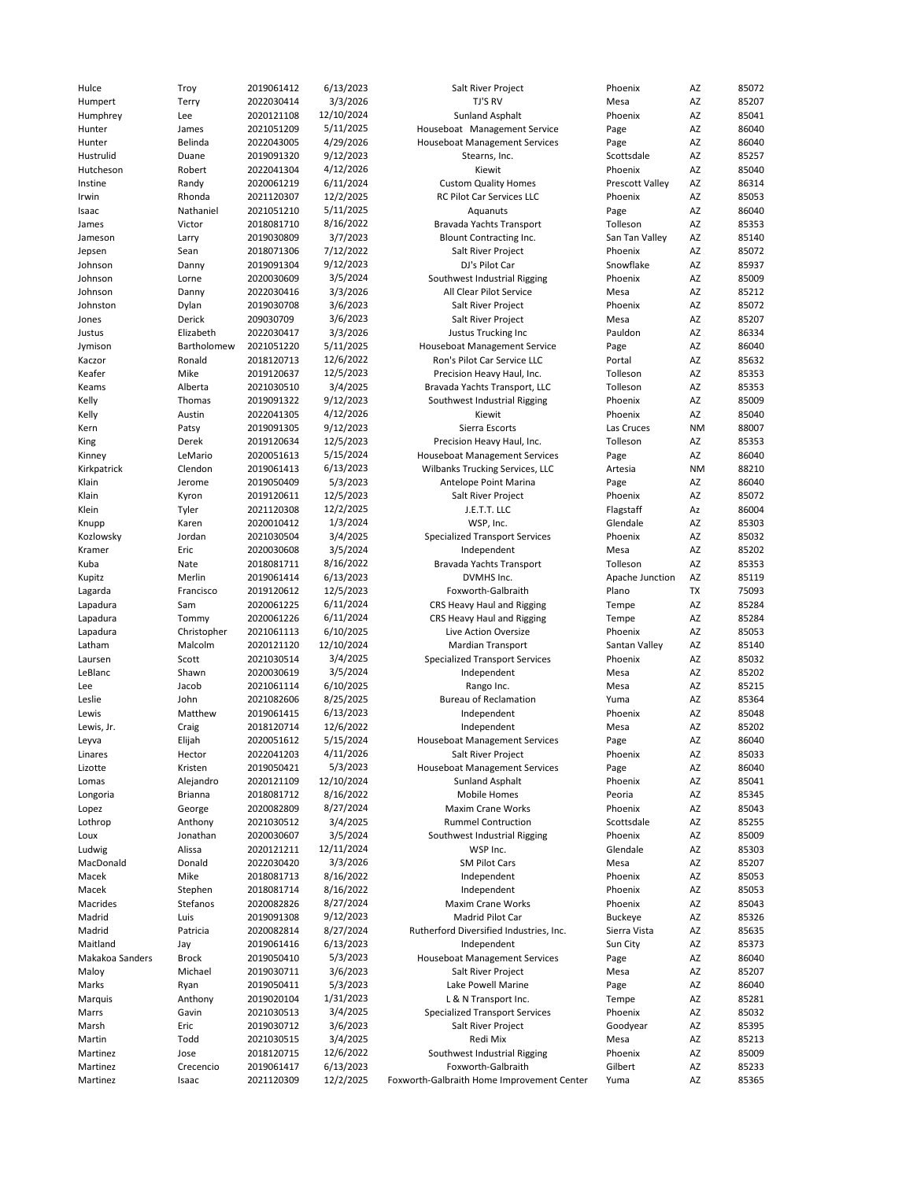| Hulce           | Troy           | 2019061412 | 6/13/2023  | Salt River Project                         | Phoenix         | AZ        | 85072 |
|-----------------|----------------|------------|------------|--------------------------------------------|-----------------|-----------|-------|
| Humpert         | Terry          | 2022030414 | 3/3/2026   | TJ'S RV                                    | Mesa            | AZ        | 85207 |
| Humphrey        | Lee            | 2020121108 | 12/10/2024 | <b>Sunland Asphalt</b>                     | Phoenix         | AZ        | 85041 |
| Hunter          |                | 2021051209 | 5/11/2025  | Houseboat Management Service               |                 | AZ        |       |
|                 | James          |            |            |                                            | Page            |           | 86040 |
| Hunter          | Belinda        | 2022043005 | 4/29/2026  | <b>Houseboat Management Services</b>       | Page            | AZ        | 86040 |
| Hustrulid       | Duane          | 2019091320 | 9/12/2023  | Stearns, Inc.                              | Scottsdale      | AZ        | 85257 |
| Hutcheson       | Robert         | 2022041304 | 4/12/2026  | Kiewit                                     | Phoenix         | AZ        | 85040 |
| Instine         | Randy          | 2020061219 | 6/11/2024  | <b>Custom Quality Homes</b>                | Prescott Valley | AZ        | 86314 |
|                 |                |            |            |                                            |                 |           |       |
| Irwin           | Rhonda         | 2021120307 | 12/2/2025  | RC Pilot Car Services LLC                  | Phoenix         | AZ        | 85053 |
| Isaac           | Nathaniel      | 2021051210 | 5/11/2025  | Aquanuts                                   | Page            | AZ        | 86040 |
| James           | Victor         | 2018081710 | 8/16/2022  | Bravada Yachts Transport                   | Tolleson        | AZ        | 85353 |
| Jameson         | Larry          | 2019030809 | 3/7/2023   | Blount Contracting Inc.                    | San Tan Valley  | AZ        | 85140 |
| Jepsen          | Sean           | 2018071306 | 7/12/2022  | Salt River Project                         | Phoenix         | AZ        | 85072 |
|                 |                |            |            |                                            |                 |           |       |
| Johnson         | Danny          | 2019091304 | 9/12/2023  | DJ's Pilot Car                             | Snowflake       | AZ        | 85937 |
| Johnson         | Lorne          | 2020030609 | 3/5/2024   | Southwest Industrial Rigging               | Phoenix         | AZ        | 85009 |
| Johnson         | Danny          | 2022030416 | 3/3/2026   | All Clear Pilot Service                    | Mesa            | AZ        | 85212 |
| Johnston        | Dylan          | 2019030708 | 3/6/2023   | Salt River Project                         | Phoenix         | AZ        | 85072 |
| Jones           | Derick         | 209030709  | 3/6/2023   | Salt River Project                         | Mesa            | AZ        | 85207 |
|                 |                |            |            |                                            |                 |           |       |
| Justus          | Elizabeth      | 2022030417 | 3/3/2026   | Justus Trucking Inc                        | Pauldon         | AZ        | 86334 |
| Jymison         | Bartholomew    | 2021051220 | 5/11/2025  | Houseboat Management Service               | Page            | AZ        | 86040 |
| Kaczor          | Ronald         | 2018120713 | 12/6/2022  | Ron's Pilot Car Service LLC                | Portal          | AZ        | 85632 |
| Keafer          | Mike           | 2019120637 | 12/5/2023  | Precision Heavy Haul, Inc.                 | Tolleson        | AZ        | 85353 |
| Keams           | Alberta        | 2021030510 |            |                                            | Tolleson        | AZ        | 85353 |
|                 |                |            | 3/4/2025   | Bravada Yachts Transport, LLC              |                 |           |       |
| Kelly           | Thomas         | 2019091322 | 9/12/2023  | Southwest Industrial Rigging               | Phoenix         | AZ        | 85009 |
| Kelly           | Austin         | 2022041305 | 4/12/2026  | Kiewit                                     | Phoenix         | AZ        | 85040 |
| Kern            | Patsy          | 2019091305 | 9/12/2023  | Sierra Escorts                             | Las Cruces      | <b>NM</b> | 88007 |
| King            | Derek          | 2019120634 | 12/5/2023  | Precision Heavy Haul, Inc.                 | Tolleson        | AZ        | 85353 |
|                 |                |            |            |                                            |                 |           |       |
| Kinney          | LeMario        | 2020051613 | 5/15/2024  | <b>Houseboat Management Services</b>       | Page            | AZ        | 86040 |
| Kirkpatrick     | Clendon        | 2019061413 | 6/13/2023  | Wilbanks Trucking Services, LLC            | Artesia         | <b>NM</b> | 88210 |
| Klain           | Jerome         | 2019050409 | 5/3/2023   | Antelope Point Marina                      | Page            | AZ        | 86040 |
| Klain           | Kyron          | 2019120611 | 12/5/2023  | Salt River Project                         | Phoenix         | AZ        | 85072 |
|                 |                |            |            |                                            |                 |           |       |
| Klein           | Tyler          | 2021120308 | 12/2/2025  | J.E.T.T. LLC                               | Flagstaff       | Az        | 86004 |
| Knupp           | Karen          | 2020010412 | 1/3/2024   | WSP, Inc.                                  | Glendale        | AZ        | 85303 |
| Kozlowsky       | Jordan         | 2021030504 | 3/4/2025   | <b>Specialized Transport Services</b>      | Phoenix         | AZ        | 85032 |
| Kramer          | Eric           | 2020030608 | 3/5/2024   | Independent                                | Mesa            | AZ        | 85202 |
| Kuba            | Nate           | 2018081711 | 8/16/2022  | Bravada Yachts Transport                   | Tolleson        | AZ        | 85353 |
|                 |                |            |            |                                            |                 |           |       |
| Kupitz          | Merlin         | 2019061414 | 6/13/2023  | DVMHS Inc.                                 | Apache Junction | AZ        | 85119 |
| Lagarda         | Francisco      | 2019120612 | 12/5/2023  | Foxworth-Galbraith                         | Plano           | TX        | 75093 |
| Lapadura        | Sam            | 2020061225 | 6/11/2024  | CRS Heavy Haul and Rigging                 | Tempe           | AZ        | 85284 |
| Lapadura        | Tommy          | 2020061226 | 6/11/2024  | CRS Heavy Haul and Rigging                 | Tempe           | AZ        | 85284 |
| Lapadura        | Christopher    | 2021061113 | 6/10/2025  | Live Action Oversize                       | Phoenix         | AZ        | 85053 |
|                 |                |            |            |                                            |                 |           |       |
| Latham          | Malcolm        | 2020121120 | 12/10/2024 | Mardian Transport                          | Santan Valley   | AZ        | 85140 |
| Laursen         | Scott          | 2021030514 | 3/4/2025   | <b>Specialized Transport Services</b>      | Phoenix         | AZ        | 85032 |
| LeBlanc         | Shawn          | 2020030619 | 3/5/2024   | Independent                                | Mesa            | AZ        | 85202 |
| Lee             | Jacob          | 2021061114 | 6/10/2025  | Rango Inc.                                 | Mesa            | AZ        | 85215 |
|                 |                |            |            |                                            |                 |           |       |
| Leslie          | John           | 2021082606 | 8/25/2025  | <b>Bureau of Reclamation</b>               | Yuma            | AZ        | 85364 |
| Lewis           | Matthew        | 2019061415 | 6/13/2023  | Independent                                | Phoenix         | AZ        | 85048 |
| Lewis, Jr.      | Craig          | 2018120714 | 12/6/2022  | Independent                                | Mesa            | AZ        | 85202 |
| Leyva           | Elijah         | 2020051612 | 5/15/2024  | <b>Houseboat Management Services</b>       | Page            | AZ        | 86040 |
| Linares         | Hector         |            | 4/11/2026  | Salt River Project                         | Phoenix         | AZ        | 85033 |
|                 |                | 2022041203 |            |                                            |                 |           |       |
| Lizotte         | Kristen        | 2019050421 | 5/3/2023   | <b>Houseboat Management Services</b>       | Page            | AZ        | 86040 |
| Lomas           | Alejandro      | 2020121109 | 12/10/2024 | Sunland Asphalt                            | Phoenix         | AZ        | 85041 |
| Longoria        | <b>Brianna</b> | 2018081712 | 8/16/2022  | Mobile Homes                               | Peoria          | AZ        | 85345 |
| Lopez           | George         | 2020082809 | 8/27/2024  | Maxim Crane Works                          | Phoenix         | AZ        | 85043 |
| Lothrop         | Anthony        | 2021030512 | 3/4/2025   | <b>Rummel Contruction</b>                  | Scottsdale      | AZ        | 85255 |
|                 |                |            |            |                                            |                 |           |       |
| Loux            | Jonathan       | 2020030607 | 3/5/2024   | Southwest Industrial Rigging               | Phoenix         | AZ        | 85009 |
| Ludwig          | Alissa         | 2020121211 | 12/11/2024 | WSP Inc.                                   | Glendale        | AZ        | 85303 |
| MacDonald       | Donald         | 2022030420 | 3/3/2026   | <b>SM Pilot Cars</b>                       | Mesa            | AZ        | 85207 |
| Macek           | Mike           | 2018081713 | 8/16/2022  | Independent                                | Phoenix         | AZ        | 85053 |
| Macek           | Stephen        | 2018081714 | 8/16/2022  | Independent                                | Phoenix         | AZ        | 85053 |
|                 |                |            |            |                                            |                 |           |       |
| Macrides        | Stefanos       | 2020082826 | 8/27/2024  | Maxim Crane Works                          | Phoenix         | AZ        | 85043 |
| Madrid          | Luis           | 2019091308 | 9/12/2023  | Madrid Pilot Car                           | <b>Buckeye</b>  | AZ        | 85326 |
| Madrid          | Patricia       | 2020082814 | 8/27/2024  | Rutherford Diversified Industries, Inc.    | Sierra Vista    | AZ        | 85635 |
| Maitland        | Jay            | 2019061416 | 6/13/2023  | Independent                                | Sun City        | AZ        | 85373 |
| Makakoa Sanders | <b>Brock</b>   | 2019050410 | 5/3/2023   | <b>Houseboat Management Services</b>       | Page            | AZ        | 86040 |
|                 |                |            |            |                                            |                 |           |       |
| Maloy           | Michael        | 2019030711 | 3/6/2023   | Salt River Project                         | Mesa            | AZ        | 85207 |
| Marks           | Ryan           | 2019050411 | 5/3/2023   | Lake Powell Marine                         | Page            | AZ        | 86040 |
| Marquis         | Anthony        | 2019020104 | 1/31/2023  | L & N Transport Inc.                       | Tempe           | AZ        | 85281 |
| Marrs           | Gavin          | 2021030513 | 3/4/2025   | Specialized Transport Services             | Phoenix         | AZ        | 85032 |
| Marsh           | Eric           | 2019030712 | 3/6/2023   | Salt River Project                         | Goodyear        | AZ        | 85395 |
|                 |                |            |            |                                            |                 |           |       |
| Martin          | Todd           | 2021030515 | 3/4/2025   | Redi Mix                                   | Mesa            | AZ        | 85213 |
| Martinez        | Jose           | 2018120715 | 12/6/2022  | Southwest Industrial Rigging               | Phoenix         | AZ        | 85009 |
| Martinez        | Crecencio      | 2019061417 | 6/13/2023  | Foxworth-Galbraith                         | Gilbert         | AZ        | 85233 |
| Martinez        | Isaac          | 2021120309 | 12/2/2025  | Foxworth-Galbraith Home Improvement Center | Yuma            | AZ        | 85365 |
|                 |                |            |            |                                            |                 |           |       |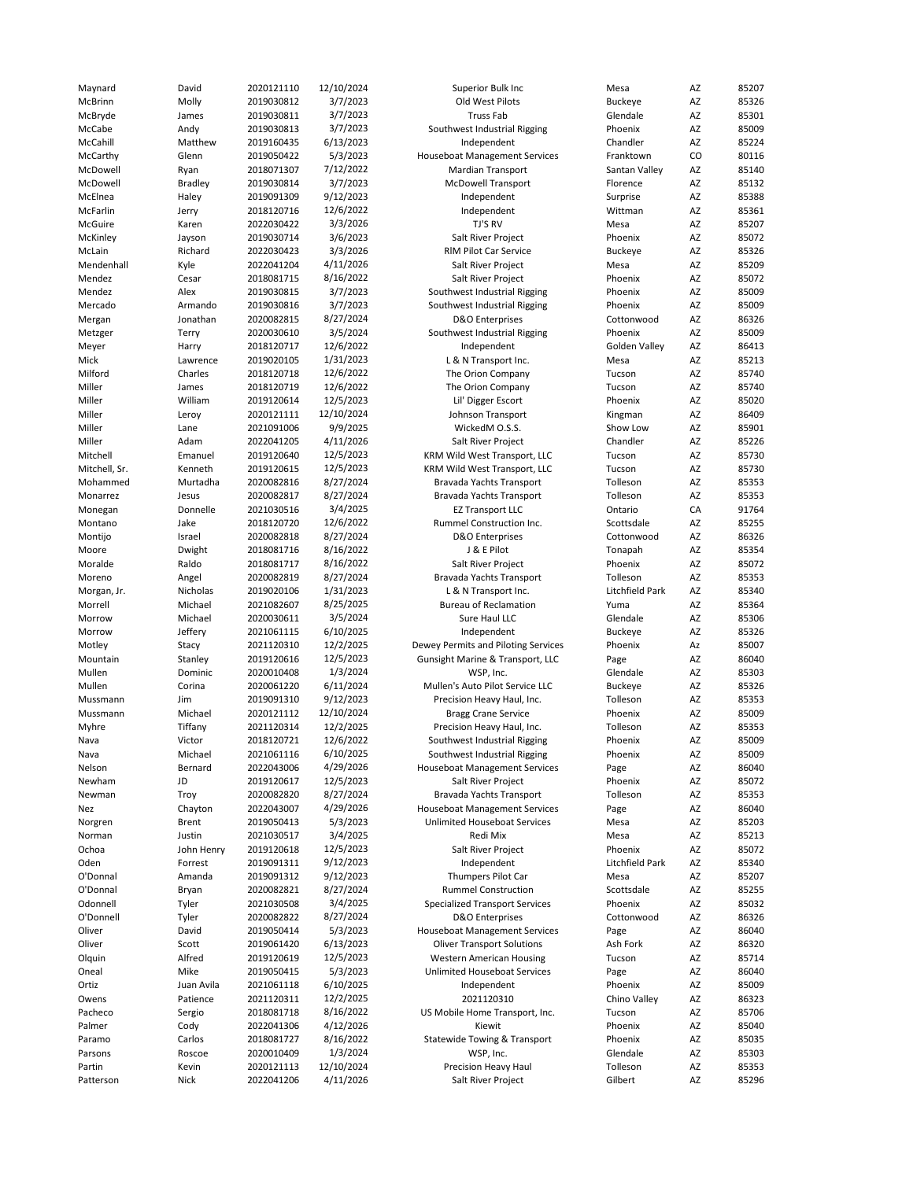| Maynard       | David          | 2020121110 | 12/10/2024 | Superior Bulk Inc                     | Mesa            | AZ | 85207 |
|---------------|----------------|------------|------------|---------------------------------------|-----------------|----|-------|
| McBrinn       | Molly          | 2019030812 | 3/7/2023   | Old West Pilots                       | Buckeye         | AZ | 85326 |
| McBryde       | James          | 2019030811 | 3/7/2023   | <b>Truss Fab</b>                      | Glendale        | AZ | 85301 |
|               |                |            |            |                                       |                 |    |       |
| McCabe        | Andy           | 2019030813 | 3/7/2023   | Southwest Industrial Rigging          | Phoenix         | AZ | 85009 |
| McCahill      | Matthew        | 2019160435 | 6/13/2023  | Independent                           | Chandler        | AZ | 85224 |
| McCarthy      | Glenn          | 2019050422 | 5/3/2023   | <b>Houseboat Management Services</b>  | Franktown       | CO | 80116 |
| McDowell      | Ryan           | 2018071307 | 7/12/2022  | <b>Mardian Transport</b>              | Santan Valley   | AZ | 85140 |
| McDowell      | <b>Bradley</b> | 2019030814 | 3/7/2023   | <b>McDowell Transport</b>             | Florence        | AZ | 85132 |
|               |                |            |            |                                       |                 |    |       |
| McElnea       | Haley          | 2019091309 | 9/12/2023  | Independent                           | Surprise        | AZ | 85388 |
| McFarlin      | Jerry          | 2018120716 | 12/6/2022  | Independent                           | Wittman         | AZ | 85361 |
| McGuire       | Karen          | 2022030422 | 3/3/2026   | TJ'S RV                               | Mesa            | AZ | 85207 |
|               |                | 2019030714 | 3/6/2023   |                                       |                 | AZ |       |
| McKinley      | Jayson         |            |            | Salt River Project                    | Phoenix         |    | 85072 |
| McLain        | Richard        | 2022030423 | 3/3/2026   | RIM Pilot Car Service                 | <b>Buckeye</b>  | AZ | 85326 |
| Mendenhall    | Kyle           | 2022041204 | 4/11/2026  | Salt River Project                    | Mesa            | AZ | 85209 |
| Mendez        | Cesar          | 2018081715 | 8/16/2022  | Salt River Project                    | Phoenix         | AZ | 85072 |
|               | Alex           | 2019030815 | 3/7/2023   |                                       | Phoenix         |    | 85009 |
| Mendez        |                |            |            | Southwest Industrial Rigging          |                 | AZ |       |
| Mercado       | Armando        | 2019030816 | 3/7/2023   | Southwest Industrial Rigging          | Phoenix         | AZ | 85009 |
| Mergan        | Jonathan       | 2020082815 | 8/27/2024  | <b>D&amp;O</b> Enterprises            | Cottonwood      | AZ | 86326 |
| Metzger       | Terry          | 2020030610 | 3/5/2024   | Southwest Industrial Rigging          | Phoenix         | AZ | 85009 |
|               |                | 2018120717 | 12/6/2022  |                                       | Golden Valley   | AZ | 86413 |
| Meyer         | Harry          |            |            | Independent                           |                 |    |       |
| Mick          | Lawrence       | 2019020105 | 1/31/2023  | L & N Transport Inc.                  | Mesa            | AZ | 85213 |
| Milford       | Charles        | 2018120718 | 12/6/2022  | The Orion Company                     | Tucson          | AZ | 85740 |
| Miller        | James          | 2018120719 | 12/6/2022  | The Orion Company                     | Tucson          | AZ | 85740 |
|               |                |            | 12/5/2023  | Lil' Digger Escort                    | Phoenix         | AZ | 85020 |
| Miller        | William        | 2019120614 |            |                                       |                 |    |       |
| Miller        | Leroy          | 2020121111 | 12/10/2024 | Johnson Transport                     | Kingman         | AZ | 86409 |
| Miller        | Lane           | 2021091006 | 9/9/2025   | WickedM O.S.S.                        | Show Low        | AZ | 85901 |
| Miller        | Adam           | 2022041205 | 4/11/2026  | Salt River Project                    | Chandler        | AZ | 85226 |
|               | Emanuel        |            |            |                                       |                 |    |       |
| Mitchell      |                | 2019120640 | 12/5/2023  | KRM Wild West Transport, LLC          | Tucson          | AZ | 85730 |
| Mitchell, Sr. | Kenneth        | 2019120615 | 12/5/2023  | KRM Wild West Transport, LLC          | Tucson          | AZ | 85730 |
| Mohammed      | Murtadha       | 2020082816 | 8/27/2024  | Bravada Yachts Transport              | Tolleson        | AZ | 85353 |
| Monarrez      | Jesus          | 2020082817 | 8/27/2024  | Bravada Yachts Transport              | Tolleson        | AZ | 85353 |
|               |                |            |            |                                       |                 |    |       |
| Monegan       | Donnelle       | 2021030516 | 3/4/2025   | <b>EZ Transport LLC</b>               | Ontario         | CA | 91764 |
| Montano       | Jake           | 2018120720 | 12/6/2022  | Rummel Construction Inc.              | Scottsdale      | AZ | 85255 |
| Montijo       | Israel         | 2020082818 | 8/27/2024  | D&O Enterprises                       | Cottonwood      | AZ | 86326 |
| Moore         | Dwight         | 2018081716 | 8/16/2022  | J & E Pilot                           | Tonapah         | AZ | 85354 |
|               |                |            |            |                                       |                 |    |       |
| Moralde       | Raldo          | 2018081717 | 8/16/2022  | Salt River Project                    | Phoenix         | AZ | 85072 |
| Moreno        | Angel          | 2020082819 | 8/27/2024  | Bravada Yachts Transport              | Tolleson        | AZ | 85353 |
| Morgan, Jr.   | Nicholas       | 2019020106 | 1/31/2023  | L & N Transport Inc.                  | Litchfield Park | AZ | 85340 |
| Morrell       | Michael        | 2021082607 | 8/25/2025  | <b>Bureau of Reclamation</b>          | Yuma            | AZ | 85364 |
|               |                |            |            |                                       |                 |    |       |
| Morrow        | Michael        | 2020030611 | 3/5/2024   | Sure Haul LLC                         | Glendale        | AZ | 85306 |
| Morrow        | Jeffery        | 2021061115 | 6/10/2025  | Independent                           | <b>Buckeye</b>  | AZ | 85326 |
| Motley        | Stacy          | 2021120310 | 12/2/2025  | Dewey Permits and Piloting Services   | Phoenix         | Az | 85007 |
| Mountain      | Stanley        | 2019120616 | 12/5/2023  | Gunsight Marine & Transport, LLC      | Page            | AZ | 86040 |
|               |                |            |            |                                       |                 |    |       |
| Mullen        | Dominic        | 2020010408 | 1/3/2024   | WSP, Inc.                             | Glendale        | AZ | 85303 |
| Mullen        | Corina         | 2020061220 | 6/11/2024  | Mullen's Auto Pilot Service LLC       | <b>Buckeye</b>  | AZ | 85326 |
| Mussmann      | Jim            | 2019091310 | 9/12/2023  | Precision Heavy Haul, Inc.            | Tolleson        | AZ | 85353 |
| Mussmann      | Michael        | 2020121112 | 12/10/2024 | <b>Bragg Crane Service</b>            | Phoenix         | AZ | 85009 |
|               |                |            |            |                                       |                 |    |       |
| Myhre         | Tiffany        | 2021120314 | 12/2/2025  | Precision Heavy Haul, Inc.            | Tolleson        | AZ | 85353 |
| Nava          | Victor         | 2018120721 | 12/6/2022  | Southwest Industrial Rigging          | Phoenix         | AZ | 85009 |
| inava         | Michael        | 2021061116 | 6/10/2025  | Southwest Industrial Rigging          | Phoenix         | ΑZ | 85009 |
| Nelson        | Bernard        | 2022043006 | 4/29/2026  | <b>Houseboat Management Services</b>  | Page            | ΑZ | 86040 |
|               |                |            |            |                                       |                 |    |       |
| Newham        | JD             | 2019120617 | 12/5/2023  | Salt River Project                    | Phoenix         | AZ | 85072 |
| Newman        | Troy           | 2020082820 | 8/27/2024  | Bravada Yachts Transport              | Tolleson        | ΑZ | 85353 |
| Nez           | Chayton        | 2022043007 | 4/29/2026  | <b>Houseboat Management Services</b>  | Page            | AZ | 86040 |
| Norgren       | Brent          | 2019050413 | 5/3/2023   | <b>Unlimited Houseboat Services</b>   | Mesa            | AZ | 85203 |
|               |                |            |            |                                       |                 |    |       |
| Norman        | Justin         | 2021030517 | 3/4/2025   | Redi Mix                              | Mesa            | AZ | 85213 |
| Ochoa         | John Henry     | 2019120618 | 12/5/2023  | Salt River Project                    | Phoenix         | ΑZ | 85072 |
| Oden          | Forrest        | 2019091311 | 9/12/2023  | Independent                           | Litchfield Park | AZ | 85340 |
| O'Donnal      | Amanda         | 2019091312 | 9/12/2023  | Thumpers Pilot Car                    | Mesa            | AZ | 85207 |
|               |                |            |            |                                       |                 |    |       |
| O'Donnal      | Bryan          | 2020082821 | 8/27/2024  | <b>Rummel Construction</b>            | Scottsdale      | AZ | 85255 |
| Odonnell      | Tyler          | 2021030508 | 3/4/2025   | <b>Specialized Transport Services</b> | Phoenix         | ΑZ | 85032 |
| O'Donnell     | Tyler          | 2020082822 | 8/27/2024  | <b>D&amp;O</b> Enterprises            | Cottonwood      | ΑZ | 86326 |
| Oliver        | David          | 2019050414 | 5/3/2023   | <b>Houseboat Management Services</b>  | Page            | AZ | 86040 |
|               |                |            |            |                                       |                 |    |       |
| Oliver        | Scott          | 2019061420 | 6/13/2023  | <b>Oliver Transport Solutions</b>     | Ash Fork        | AZ | 86320 |
| Olquin        | Alfred         | 2019120619 | 12/5/2023  | <b>Western American Housing</b>       | Tucson          | AZ | 85714 |
| Oneal         | Mike           | 2019050415 | 5/3/2023   | Unlimited Houseboat Services          | Page            | AZ | 86040 |
| Ortiz         | Juan Avila     | 2021061118 | 6/10/2025  | Independent                           | Phoenix         | AZ | 85009 |
|               |                |            |            |                                       |                 |    |       |
| Owens         | Patience       | 2021120311 | 12/2/2025  | 2021120310                            | Chino Valley    | ΑZ | 86323 |
| Pacheco       | Sergio         | 2018081718 | 8/16/2022  | US Mobile Home Transport, Inc.        | Tucson          | AZ | 85706 |
| Palmer        | Cody           | 2022041306 | 4/12/2026  | Kiewit                                | Phoenix         | AZ | 85040 |
| Paramo        | Carlos         | 2018081727 | 8/16/2022  | Statewide Towing & Transport          | Phoenix         | AZ | 85035 |
|               |                |            |            |                                       |                 |    |       |
| Parsons       | Roscoe         | 2020010409 | 1/3/2024   | WSP, Inc.                             | Glendale        | ΑZ | 85303 |
| Partin        | Kevin          | 2020121113 | 12/10/2024 | Precision Heavy Haul                  | Tolleson        | AZ | 85353 |
| Patterson     | Nick           | 2022041206 | 4/11/2026  | Salt River Project                    | Gilbert         | AZ | 85296 |
|               |                |            |            |                                       |                 |    |       |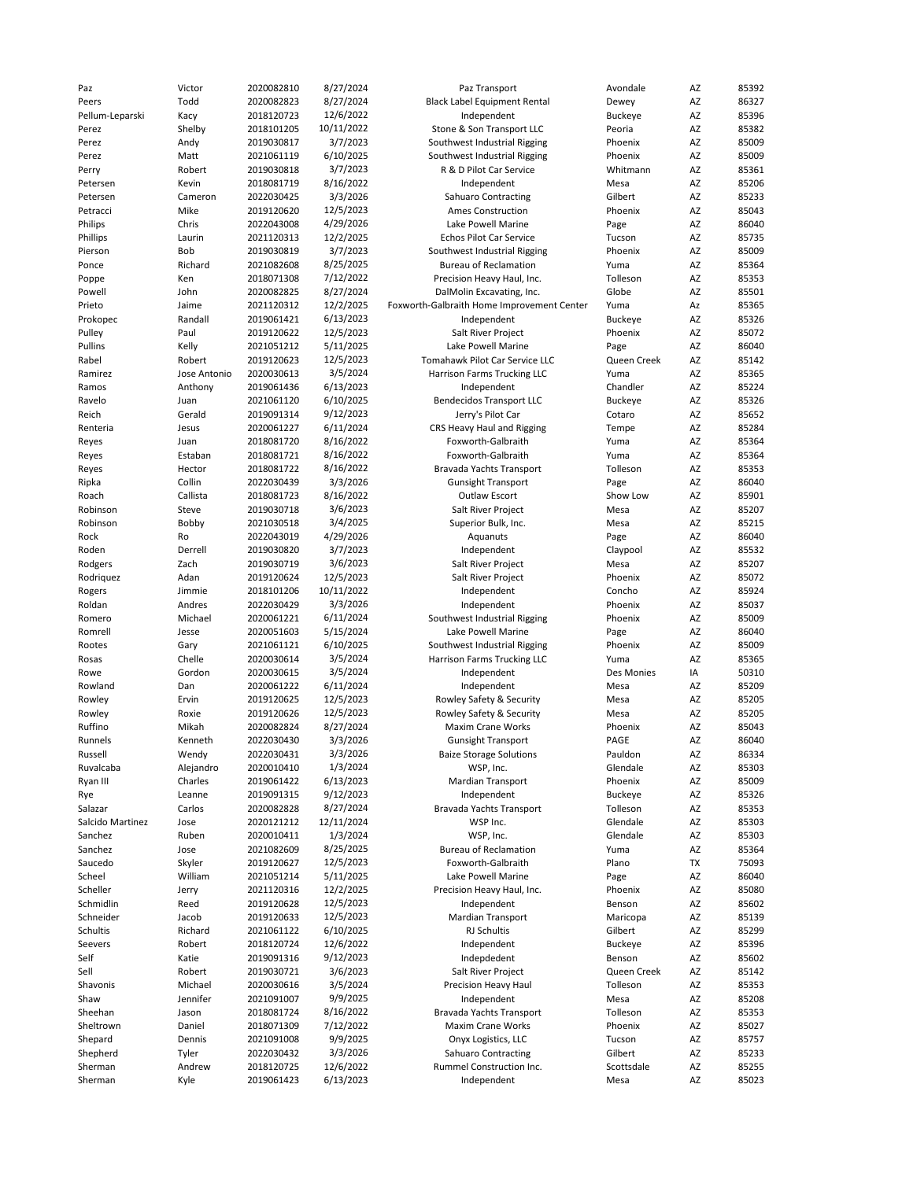| Paz              | Victor       | 2020082810 | 8/27/2024  | Paz Transport                              | Avondale       | AZ | 85392 |
|------------------|--------------|------------|------------|--------------------------------------------|----------------|----|-------|
| Peers            | Todd         | 2020082823 | 8/27/2024  | <b>Black Label Equipment Rental</b>        | Dewey          | AZ | 86327 |
| Pellum-Leparski  | Kacy         | 2018120723 | 12/6/2022  | Independent                                | <b>Buckeye</b> | AZ | 85396 |
| Perez            | Shelby       | 2018101205 | 10/11/2022 | Stone & Son Transport LLC                  | Peoria         | AZ | 85382 |
| Perez            | Andy         | 2019030817 | 3/7/2023   | Southwest Industrial Rigging               | Phoenix        | AZ | 85009 |
|                  |              |            |            |                                            |                |    |       |
| Perez            | Matt         | 2021061119 | 6/10/2025  | Southwest Industrial Rigging               | Phoenix        | AZ | 85009 |
| Perry            | Robert       | 2019030818 | 3/7/2023   | R & D Pilot Car Service                    | Whitmann       | AZ | 85361 |
| Petersen         | Kevin        | 2018081719 | 8/16/2022  | Independent                                | Mesa           | AZ | 85206 |
| Petersen         | Cameron      | 2022030425 | 3/3/2026   | <b>Sahuaro Contracting</b>                 | Gilbert        | AZ | 85233 |
| Petracci         | Mike         | 2019120620 | 12/5/2023  | Ames Construction                          | Phoenix        | AZ | 85043 |
| Philips          | Chris        | 2022043008 | 4/29/2026  | Lake Powell Marine                         | Page           | AZ | 86040 |
|                  |              |            |            |                                            |                |    |       |
| Phillips         | Laurin       | 2021120313 | 12/2/2025  | <b>Echos Pilot Car Service</b>             | Tucson         | AZ | 85735 |
| Pierson          | Bob          | 2019030819 | 3/7/2023   | Southwest Industrial Rigging               | Phoenix        | AZ | 85009 |
| Ponce            | Richard      | 2021082608 | 8/25/2025  | <b>Bureau of Reclamation</b>               | Yuma           | AZ | 85364 |
| Poppe            | Ken          | 2018071308 | 7/12/2022  | Precision Heavy Haul, Inc.                 | Tolleson       | AZ | 85353 |
| Powell           | John         | 2020082825 | 8/27/2024  | DalMolin Excavating, Inc.                  | Globe          | AZ | 85501 |
|                  |              |            |            |                                            |                |    |       |
| Prieto           | Jaime        | 2021120312 | 12/2/2025  | Foxworth-Galbraith Home Improvement Center | Yuma           | Az | 85365 |
| Prokopec         | Randall      | 2019061421 | 6/13/2023  | Independent                                | <b>Buckeye</b> | AZ | 85326 |
| Pulley           | Paul         | 2019120622 | 12/5/2023  | Salt River Project                         | Phoenix        | AZ | 85072 |
| Pullins          | Kelly        | 2021051212 | 5/11/2025  | Lake Powell Marine                         | Page           | AZ | 86040 |
| Rabel            | Robert       | 2019120623 | 12/5/2023  | Tomahawk Pilot Car Service LLC             | Queen Creek    | AZ | 85142 |
| Ramirez          | Jose Antonio | 2020030613 | 3/5/2024   | Harrison Farms Trucking LLC                | Yuma           | AZ | 85365 |
|                  |              |            |            |                                            |                |    |       |
| Ramos            | Anthony      | 2019061436 | 6/13/2023  | Independent                                | Chandler       | AZ | 85224 |
| Ravelo           | Juan         | 2021061120 | 6/10/2025  | <b>Bendecidos Transport LLC</b>            | <b>Buckeye</b> | AZ | 85326 |
| Reich            | Gerald       | 2019091314 | 9/12/2023  | Jerry's Pilot Car                          | Cotaro         | AZ | 85652 |
| Renteria         | Jesus        | 2020061227 | 6/11/2024  | CRS Heavy Haul and Rigging                 | Tempe          | AZ | 85284 |
|                  | Juan         | 2018081720 | 8/16/2022  | Foxworth-Galbraith                         | Yuma           | AZ | 85364 |
| Reyes            |              |            |            |                                            |                |    |       |
| Reyes            | Estaban      | 2018081721 | 8/16/2022  | Foxworth-Galbraith                         | Yuma           | AZ | 85364 |
| Reyes            | Hector       | 2018081722 | 8/16/2022  | Bravada Yachts Transport                   | Tolleson       | AZ | 85353 |
| Ripka            | Collin       | 2022030439 | 3/3/2026   | <b>Gunsight Transport</b>                  | Page           | AZ | 86040 |
| Roach            | Callista     | 2018081723 | 8/16/2022  | Outlaw Escort                              | Show Low       | AZ | 85901 |
| Robinson         | Steve        | 2019030718 | 3/6/2023   | Salt River Project                         | Mesa           | AZ | 85207 |
|                  |              |            |            |                                            |                |    |       |
| Robinson         | Bobby        | 2021030518 | 3/4/2025   | Superior Bulk, Inc.                        | Mesa           | AZ | 85215 |
| Rock             | Ro           | 2022043019 | 4/29/2026  | Aquanuts                                   | Page           | AZ | 86040 |
| Roden            | Derrell      | 2019030820 | 3/7/2023   | Independent                                | Claypool       | AZ | 85532 |
| Rodgers          | Zach         | 2019030719 | 3/6/2023   | Salt River Project                         | Mesa           | AZ | 85207 |
| Rodriguez        | Adan         | 2019120624 | 12/5/2023  | Salt River Project                         | Phoenix        | AZ | 85072 |
|                  | Jimmie       | 2018101206 | 10/11/2022 | Independent                                | Concho         | AZ | 85924 |
| Rogers           |              |            |            |                                            |                |    |       |
| Roldan           | Andres       | 2022030429 | 3/3/2026   | Independent                                | Phoenix        | AZ | 85037 |
| Romero           | Michael      | 2020061221 | 6/11/2024  | Southwest Industrial Rigging               | Phoenix        | AZ | 85009 |
| Romrell          | Jesse        | 2020051603 | 5/15/2024  | Lake Powell Marine                         | Page           | AZ | 86040 |
| Rootes           | Gary         | 2021061121 | 6/10/2025  | Southwest Industrial Rigging               | Phoenix        | AZ | 85009 |
| Rosas            | Chelle       | 2020030614 | 3/5/2024   | Harrison Farms Trucking LLC                | Yuma           | AZ | 85365 |
|                  |              |            |            |                                            |                |    |       |
| Rowe             | Gordon       | 2020030615 | 3/5/2024   | Independent                                | Des Monies     | IA | 50310 |
| Rowland          | Dan          | 2020061222 | 6/11/2024  | Independent                                | Mesa           | AZ | 85209 |
| Rowley           | Ervin        | 2019120625 | 12/5/2023  | Rowley Safety & Security                   | Mesa           | AZ | 85205 |
| Rowley           | Roxie        | 2019120626 | 12/5/2023  | Rowley Safety & Security                   | Mesa           | AZ | 85205 |
| Ruffino          | Mikah        | 2020082824 | 8/27/2024  | Maxim Crane Works                          | Phoenix        | AZ | 85043 |
| Runnels          | Kenneth      | 2022030430 | 3/3/2026   | <b>Gunsight Transport</b>                  | PAGE           | AZ | 86040 |
|                  |              |            |            |                                            |                |    |       |
| Russell          | Wendy        | 2022030431 | 3/3/2026   | <b>Baize Storage Solutions</b>             | Pauldon        | AZ | 86334 |
| Ruvalcaba        | Alejandro    | 2020010410 | 1/3/2024   | WSP, Inc.                                  | Glendale       | AZ | 85303 |
| Ryan III         | Charles      | 2019061422 | 6/13/2023  | Mardian Transport                          | Phoenix        | AZ | 85009 |
| Rye              | Leanne       | 2019091315 | 9/12/2023  | Independent                                | Buckeye        | AZ | 85326 |
| Salazar          | Carlos       | 2020082828 | 8/27/2024  | Bravada Yachts Transport                   | Tolleson       | AZ | 85353 |
| Salcido Martinez | Jose         | 2020121212 | 12/11/2024 | WSP Inc.                                   | Glendale       | AZ | 85303 |
|                  |              |            |            |                                            |                |    |       |
| Sanchez          | Ruben        | 2020010411 | 1/3/2024   | WSP, Inc.                                  | Glendale       | AZ | 85303 |
| Sanchez          | Jose         | 2021082609 | 8/25/2025  | <b>Bureau of Reclamation</b>               | Yuma           | AZ | 85364 |
| Saucedo          | Skyler       | 2019120627 | 12/5/2023  | Foxworth-Galbraith                         | Plano          | TX | 75093 |
| Scheel           | William      | 2021051214 | 5/11/2025  | Lake Powell Marine                         | Page           | AZ | 86040 |
| Scheller         | Jerry        | 2021120316 | 12/2/2025  | Precision Heavy Haul, Inc.                 | Phoenix        | AZ | 85080 |
| Schmidlin        |              | 2019120628 | 12/5/2023  | Independent                                | Benson         |    | 85602 |
|                  | Reed         |            |            |                                            |                | AZ |       |
| Schneider        | Jacob        | 2019120633 | 12/5/2023  | <b>Mardian Transport</b>                   | Maricopa       | AZ | 85139 |
| Schultis         | Richard      | 2021061122 | 6/10/2025  | <b>RJ Schultis</b>                         | Gilbert        | AZ | 85299 |
| Seevers          | Robert       | 2018120724 | 12/6/2022  | Independent                                | <b>Buckeye</b> | AZ | 85396 |
| Self             | Katie        | 2019091316 | 9/12/2023  | Indepdedent                                | Benson         | AZ | 85602 |
| Sell             | Robert       | 2019030721 | 3/6/2023   | Salt River Project                         | Queen Creek    | AZ | 85142 |
|                  |              |            |            |                                            |                |    |       |
| Shavonis         | Michael      | 2020030616 | 3/5/2024   | Precision Heavy Haul                       | Tolleson       | AZ | 85353 |
| Shaw             | Jennifer     | 2021091007 | 9/9/2025   | Independent                                | Mesa           | AZ | 85208 |
| Sheehan          | Jason        | 2018081724 | 8/16/2022  | Bravada Yachts Transport                   | Tolleson       | AZ | 85353 |
| Sheltrown        | Daniel       | 2018071309 | 7/12/2022  | Maxim Crane Works                          | Phoenix        | AZ | 85027 |
| Shepard          | Dennis       | 2021091008 | 9/9/2025   | Onyx Logistics, LLC                        | Tucson         | AZ | 85757 |
| Shepherd         | Tyler        | 2022030432 | 3/3/2026   | <b>Sahuaro Contracting</b>                 | Gilbert        | AZ | 85233 |
|                  |              |            |            |                                            |                |    |       |
| Sherman          | Andrew       | 2018120725 | 12/6/2022  | Rummel Construction Inc.                   | Scottsdale     | AZ | 85255 |
| Sherman          | Kyle         | 2019061423 | 6/13/2023  | Independent                                | Mesa           | AZ | 85023 |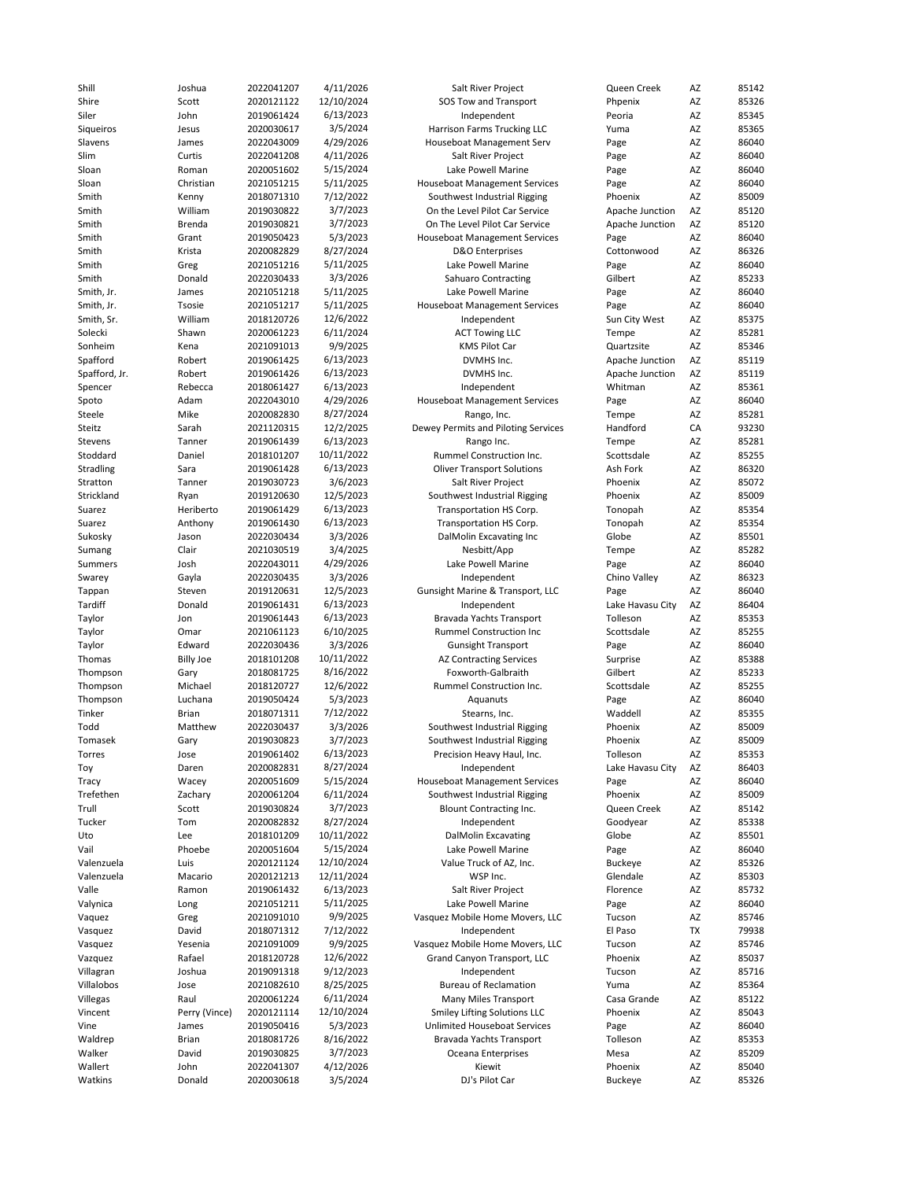| Shire              | Joshua           | 2022041207               | 4/11/2026             | Salt River Project                   | Queen Creek        | AZ       | 85142          |
|--------------------|------------------|--------------------------|-----------------------|--------------------------------------|--------------------|----------|----------------|
|                    | Scott            | 2020121122               | 12/10/2024            | SOS Tow and Transport                | Phpenix            | AZ       | 85326          |
| Siler              | John             | 2019061424               | 6/13/2023             | Independent                          | Peoria             | AZ       | 85345          |
|                    |                  |                          | 3/5/2024              |                                      |                    |          | 85365          |
| Sigueiros          | Jesus            | 2020030617               |                       | Harrison Farms Trucking LLC          | Yuma               | AZ       |                |
| Slavens            | James            | 2022043009               | 4/29/2026             | Houseboat Management Serv            | Page               | AZ       | 86040          |
| Slim               | Curtis           | 2022041208               | 4/11/2026             | Salt River Project                   | Page               | AZ       | 86040          |
| Sloan              | Roman            | 2020051602               | 5/15/2024             | Lake Powell Marine                   | Page               | AZ       | 86040          |
| Sloan              | Christian        | 2021051215               | 5/11/2025             | <b>Houseboat Management Services</b> | Page               | AZ       | 86040          |
|                    |                  |                          |                       |                                      |                    |          |                |
| Smith              | Kenny            | 2018071310               | 7/12/2022             | Southwest Industrial Rigging         | Phoenix            | AZ       | 85009          |
| Smith              | William          | 2019030822               | 3/7/2023              | On the Level Pilot Car Service       | Apache Junction    | AZ       | 85120          |
| Smith              | Brenda           | 2019030821               | 3/7/2023              | On The Level Pilot Car Service       | Apache Junction    | AZ       | 85120          |
| Smith              | Grant            | 2019050423               | 5/3/2023              | <b>Houseboat Management Services</b> | Page               | AZ       | 86040          |
| Smith              | Krista           | 2020082829               | 8/27/2024             | D&O Enterprises                      | Cottonwood         | AZ       | 86326          |
|                    |                  |                          |                       |                                      |                    |          |                |
| Smith              | Greg             | 2021051216               | 5/11/2025             | Lake Powell Marine                   | Page               | AZ       | 86040          |
| Smith              | Donald           | 2022030433               | 3/3/2026              | <b>Sahuaro Contracting</b>           | Gilbert            | AZ       | 85233          |
| Smith, Jr.         | James            | 2021051218               | 5/11/2025             | Lake Powell Marine                   | Page               | AZ       | 86040          |
| Smith, Jr.         | Tsosie           | 2021051217               | 5/11/2025             | <b>Houseboat Management Services</b> | Page               | AZ       | 86040          |
|                    |                  |                          |                       |                                      |                    |          |                |
| Smith, Sr.         | William          | 2018120726               | 12/6/2022             | Independent                          | Sun City West      | AZ       | 85375          |
| Solecki            | Shawn            | 2020061223               | 6/11/2024             | <b>ACT Towing LLC</b>                | Tempe              | AZ       | 85281          |
| Sonheim            | Kena             | 2021091013               | 9/9/2025              | <b>KMS Pilot Car</b>                 | Quartzsite         | AZ       | 85346          |
| Spafford           | Robert           | 2019061425               | 6/13/2023             | DVMHS Inc.                           | Apache Junction    | AZ       | 85119          |
| Spafford, Jr.      | Robert           | 2019061426               | 6/13/2023             | DVMHS Inc.                           | Apache Junction    | AZ       | 85119          |
|                    |                  |                          |                       |                                      |                    |          |                |
| Spencer            | Rebecca          | 2018061427               | 6/13/2023             | Independent                          | Whitman            | AZ       | 85361          |
| Spoto              | Adam             | 2022043010               | 4/29/2026             | <b>Houseboat Management Services</b> | Page               | AZ       | 86040          |
| Steele             | Mike             | 2020082830               | 8/27/2024             | Rango, Inc.                          | Tempe              | AZ       | 85281          |
| Steitz             | Sarah            | 2021120315               | 12/2/2025             | Dewey Permits and Piloting Services  | Handford           | CA       | 93230          |
|                    | Tanner           |                          | 6/13/2023             |                                      |                    |          | 85281          |
| Stevens            |                  | 2019061439               |                       | Rango Inc.                           | Tempe              | AZ       |                |
| Stoddard           | Daniel           | 2018101207               | 10/11/2022            | Rummel Construction Inc.             | Scottsdale         | AZ       | 85255          |
| Stradling          | Sara             | 2019061428               | 6/13/2023             | <b>Oliver Transport Solutions</b>    | Ash Fork           | AZ       | 86320          |
| Stratton           | Tanner           | 2019030723               | 3/6/2023              | Salt River Project                   | Phoenix            | AZ       | 85072          |
| Strickland         | Ryan             | 2019120630               | 12/5/2023             | Southwest Industrial Rigging         | Phoenix            | AZ       | 85009          |
|                    |                  |                          |                       |                                      |                    |          |                |
| Suarez             | Heriberto        | 2019061429               | 6/13/2023             | Transportation HS Corp.              | Tonopah            | AZ       | 85354          |
| Suarez             | Anthony          | 2019061430               | 6/13/2023             | Transportation HS Corp.              | Tonopah            | AZ       | 85354          |
| Sukosky            | Jason            | 2022030434               | 3/3/2026              | DalMolin Excavating Inc              | Globe              | AZ       | 85501          |
| Sumang             | Clair            | 2021030519               | 3/4/2025              | Nesbitt/App                          | Tempe              | AZ       | 85282          |
| Summers            | Josh             | 2022043011               | 4/29/2026             | Lake Powell Marine                   | Page               | AZ       | 86040          |
|                    |                  |                          |                       |                                      |                    |          |                |
| Swarey             | Gayla            | 2022030435               | 3/3/2026              | Independent                          | Chino Valley       | AZ       | 86323          |
| Tappan             | Steven           | 2019120631               | 12/5/2023             | Gunsight Marine & Transport, LLC     | Page               | AZ       | 86040          |
| Tardiff            | Donald           | 2019061431               | 6/13/2023             | Independent                          | Lake Havasu City   | AZ       | 86404          |
| Taylor             | Jon              | 2019061443               | 6/13/2023             | Bravada Yachts Transport             | Tolleson           | AZ       | 85353          |
|                    |                  |                          |                       |                                      | Scottsdale         |          | 85255          |
|                    |                  |                          |                       |                                      |                    |          |                |
| Taylor             | Omar             | 2021061123               | 6/10/2025             | Rummel Construction Inc              |                    | AZ       |                |
| Taylor             | Edward           | 2022030436               | 3/3/2026              | <b>Gunsight Transport</b>            | Page               | AZ       | 86040          |
| Thomas             | <b>Billy Joe</b> | 2018101208               | 10/11/2022            | <b>AZ Contracting Services</b>       | Surprise           | AZ       | 85388          |
|                    |                  |                          |                       |                                      |                    |          |                |
| Thompson           | Gary             | 2018081725               | 8/16/2022             | Foxworth-Galbraith                   | Gilbert            | AZ       | 85233          |
| Thompson           | Michael          | 2018120727               | 12/6/2022             | Rummel Construction Inc.             | Scottsdale         | AZ       | 85255          |
| Thompson           | Luchana          | 2019050424               | 5/3/2023              | Aquanuts                             | Page               | AZ       | 86040          |
| Tinker             | Brian            | 2018071311               | 7/12/2022             | Stearns, Inc.                        | Waddell            | AZ       | 85355          |
| Todd               | Matthew          | 2022030437               | 3/3/2026              |                                      | Phoenix            | AZ       | 85009          |
|                    |                  |                          |                       | Southwest Industrial Rigging         |                    |          |                |
| Tomasek            | Gary             | 2019030823               | 3/7/2023              | Southwest Industrial Rigging         | Phoenix            | AZ       | 85009          |
| Torres             | Jose             | 2019061402               | 6/13/2023             | Precision Heavy Haul, Inc.           | Tolleson           | AZ       | 85353          |
| Toy                | Daren            | 2020082831               | 8/27/2024             | Independent                          | Lake Havasu City   | AZ       | 86403          |
| Tracy              | Wacey            | 2020051609               | 5/15/2024             | <b>Houseboat Management Services</b> | Page               | AZ       | 86040          |
| Trefethen          | Zachary          | 2020061204               | 6/11/2024             | Southwest Industrial Rigging         | Phoenix            | AZ       | 85009          |
|                    |                  |                          |                       |                                      |                    |          |                |
| Trull              | Scott            | 2019030824               | 3/7/2023              | Blount Contracting Inc.              | Queen Creek        | AZ       | 85142          |
| Tucker             | Tom              | 2020082832               | 8/27/2024             | Independent                          | Goodyear           | AZ       | 85338          |
| Uto                | Lee              | 2018101209               | 10/11/2022            | <b>DalMolin Excavating</b>           | Globe              | AZ       | 85501          |
| Vail               | Phoebe           | 2020051604               | 5/15/2024             | Lake Powell Marine                   | Page               | AZ       | 86040          |
| Valenzuela         | Luis             | 2020121124               | 12/10/2024            | Value Truck of AZ, Inc.              | <b>Buckeye</b>     | AZ       | 85326          |
|                    |                  |                          |                       |                                      |                    |          |                |
| Valenzuela         | Macario          | 2020121213               | 12/11/2024            | WSP Inc.                             | Glendale           | AZ       | 85303          |
| Valle              | Ramon            | 2019061432               | 6/13/2023             | Salt River Project                   | Florence           | AZ       | 85732          |
| Valynica           | Long             | 2021051211               | 5/11/2025             | Lake Powell Marine                   | Page               | AZ       | 86040          |
| Vaquez             | Greg             | 2021091010               | 9/9/2025              | Vasquez Mobile Home Movers, LLC      | Tucson             | AZ       | 85746          |
|                    |                  |                          |                       |                                      |                    |          |                |
| Vasquez            | David            | 2018071312               | 7/12/2022             | Independent                          | El Paso            | TX       | 79938          |
| Vasquez            | Yesenia          | 2021091009               | 9/9/2025              | Vasquez Mobile Home Movers, LLC      | Tucson             | AZ       | 85746          |
| Vazquez            | Rafael           | 2018120728               | 12/6/2022             | Grand Canyon Transport, LLC          | Phoenix            | AZ       | 85037          |
| Villagran          | Joshua           | 2019091318               | 9/12/2023             | Independent                          | Tucson             | AZ       | 85716          |
| Villalobos         | Jose             | 2021082610               | 8/25/2025             | <b>Bureau of Reclamation</b>         | Yuma               | AZ       | 85364          |
|                    |                  |                          |                       |                                      |                    |          |                |
| Villegas           | Raul             | 2020061224               | 6/11/2024             | Many Miles Transport                 | Casa Grande        | AZ       | 85122          |
| Vincent            | Perry (Vince)    | 2020121114               | 12/10/2024            | <b>Smiley Lifting Solutions LLC</b>  | Phoenix            | AZ       | 85043          |
| Vine               | James            | 2019050416               | 5/3/2023              | Unlimited Houseboat Services         | Page               | AZ       | 86040          |
| Waldrep            | Brian            | 2018081726               | 8/16/2022             | Bravada Yachts Transport             | Tolleson           | AZ       | 85353          |
| Walker             | David            |                          | 3/7/2023              | Oceana Enterprises                   | Mesa               |          | 85209          |
|                    |                  | 2019030825               |                       |                                      |                    | AZ       |                |
| Wallert<br>Watkins | John<br>Donald   | 2022041307<br>2020030618 | 4/12/2026<br>3/5/2024 | Kiewit<br>DJ's Pilot Car             | Phoenix<br>Buckeye | AZ<br>AZ | 85040<br>85326 |